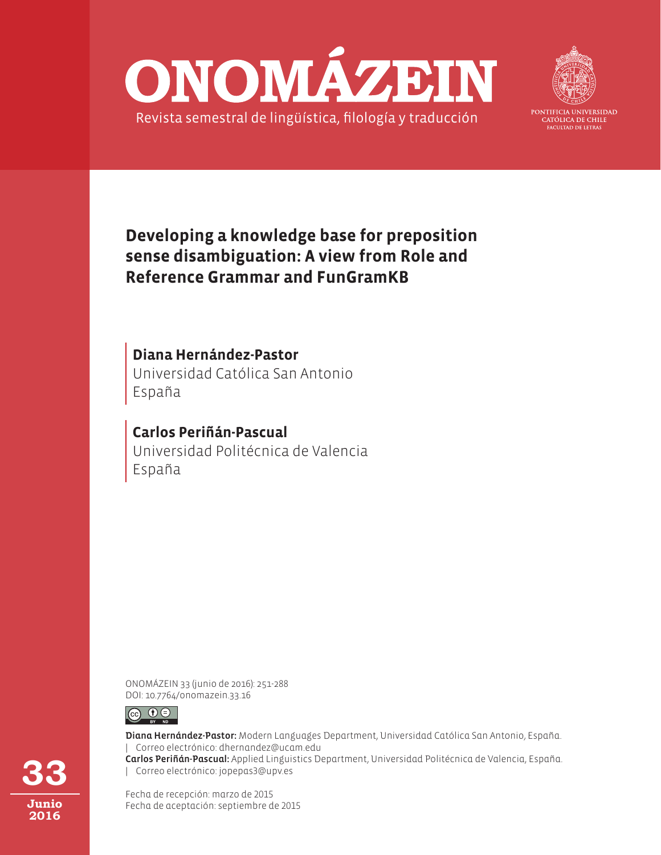



PONTIFICIA UNIVERSIDAD CATÓLICA DE CHILE **FACULTAD DE LETRAS** 

# **Developing a knowledge base for preposition sense disambiguation: A view from Role and Reference Grammar and FunGramKB**

Universidad Católica San Antonio España **Diana Hernández-Pastor**

Universidad Politécnica de Valencia España **Carlos Periñán-Pascual**

ONOMÁZEIN 33 (junio de 2016): 251-288 DOI: 10.7764/onomazein.33.16



Diana Hernández-Pastor: Modern Languages Department, Universidad Católica San Antonio, España. | Correo electrónico: dhernandez@ucam.edu Carlos Periñán-Pascual: Applied Linguistics Department, Universidad Politécnica de Valencia, España. | Correo electrónico: jopepas3@upv.es

Fecha de recepción: marzo de 2015 Fecha de aceptación: septiembre de 2015

**33 Junio 2016**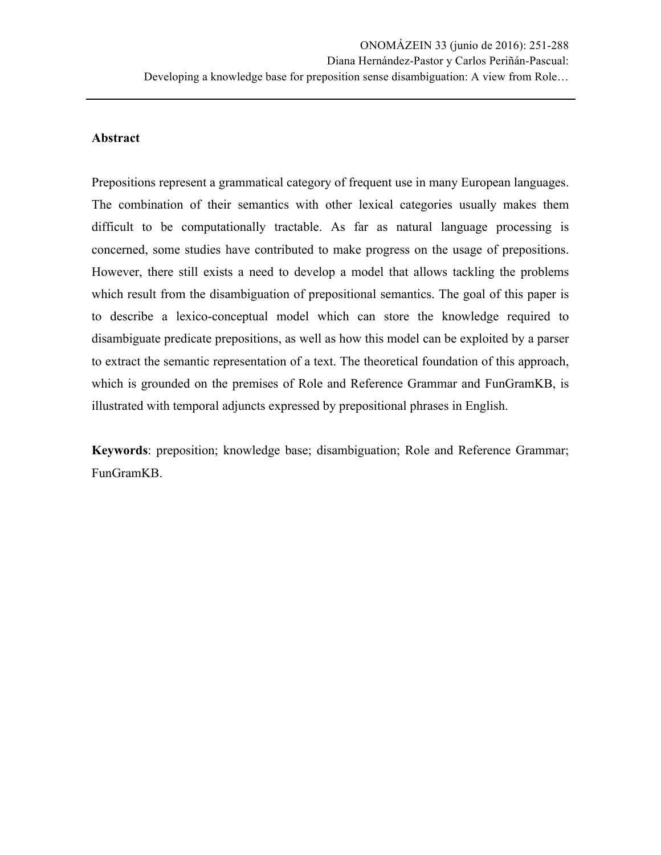# **Abstract**

Prepositions represent a grammatical category of frequent use in many European languages. The combination of their semantics with other lexical categories usually makes them difficult to be computationally tractable. As far as natural language processing is concerned, some studies have contributed to make progress on the usage of prepositions. However, there still exists a need to develop a model that allows tackling the problems which result from the disambiguation of prepositional semantics. The goal of this paper is to describe a lexico-conceptual model which can store the knowledge required to disambiguate predicate prepositions, as well as how this model can be exploited by a parser to extract the semantic representation of a text. The theoretical foundation of this approach, which is grounded on the premises of Role and Reference Grammar and FunGramKB, is illustrated with temporal adjuncts expressed by prepositional phrases in English.

**Keywords**: preposition; knowledge base; disambiguation; Role and Reference Grammar; FunGramKB.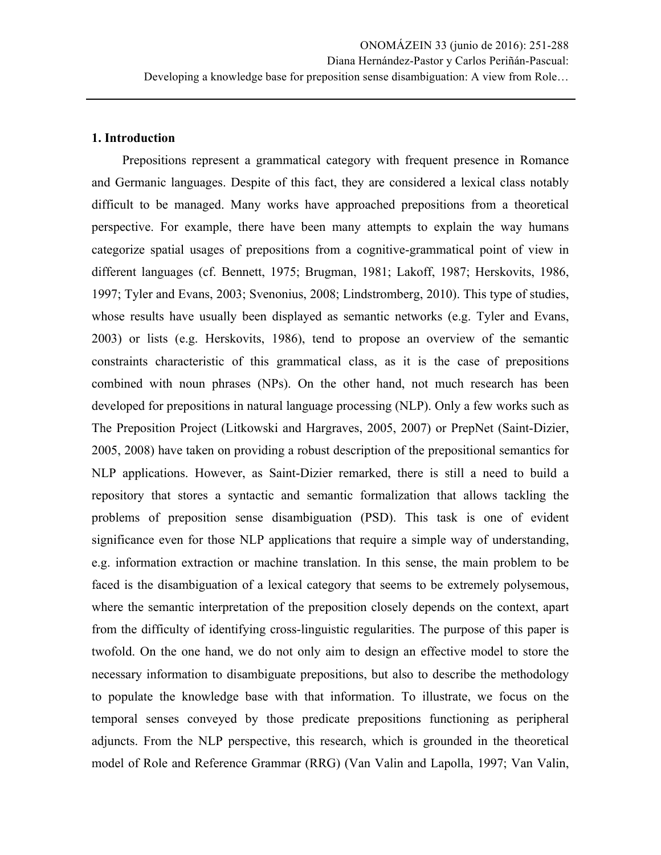#### **1. Introduction**

Prepositions represent a grammatical category with frequent presence in Romance and Germanic languages. Despite of this fact, they are considered a lexical class notably difficult to be managed. Many works have approached prepositions from a theoretical perspective. For example, there have been many attempts to explain the way humans categorize spatial usages of prepositions from a cognitive-grammatical point of view in different languages (cf. Bennett, 1975; Brugman, 1981; Lakoff, 1987; Herskovits, 1986, 1997; Tyler and Evans, 2003; Svenonius, 2008; Lindstromberg, 2010). This type of studies, whose results have usually been displayed as semantic networks (e.g. Tyler and Evans, 2003) or lists (e.g. Herskovits, 1986), tend to propose an overview of the semantic constraints characteristic of this grammatical class, as it is the case of prepositions combined with noun phrases (NPs). On the other hand, not much research has been developed for prepositions in natural language processing (NLP). Only a few works such as The Preposition Project (Litkowski and Hargraves, 2005, 2007) or PrepNet (Saint-Dizier, 2005, 2008) have taken on providing a robust description of the prepositional semantics for NLP applications. However, as Saint-Dizier remarked, there is still a need to build a repository that stores a syntactic and semantic formalization that allows tackling the problems of preposition sense disambiguation (PSD). This task is one of evident significance even for those NLP applications that require a simple way of understanding, e.g. information extraction or machine translation. In this sense, the main problem to be faced is the disambiguation of a lexical category that seems to be extremely polysemous, where the semantic interpretation of the preposition closely depends on the context, apart from the difficulty of identifying cross-linguistic regularities. The purpose of this paper is twofold. On the one hand, we do not only aim to design an effective model to store the necessary information to disambiguate prepositions, but also to describe the methodology to populate the knowledge base with that information. To illustrate, we focus on the temporal senses conveyed by those predicate prepositions functioning as peripheral adjuncts. From the NLP perspective, this research, which is grounded in the theoretical model of Role and Reference Grammar (RRG) (Van Valin and Lapolla, 1997; Van Valin,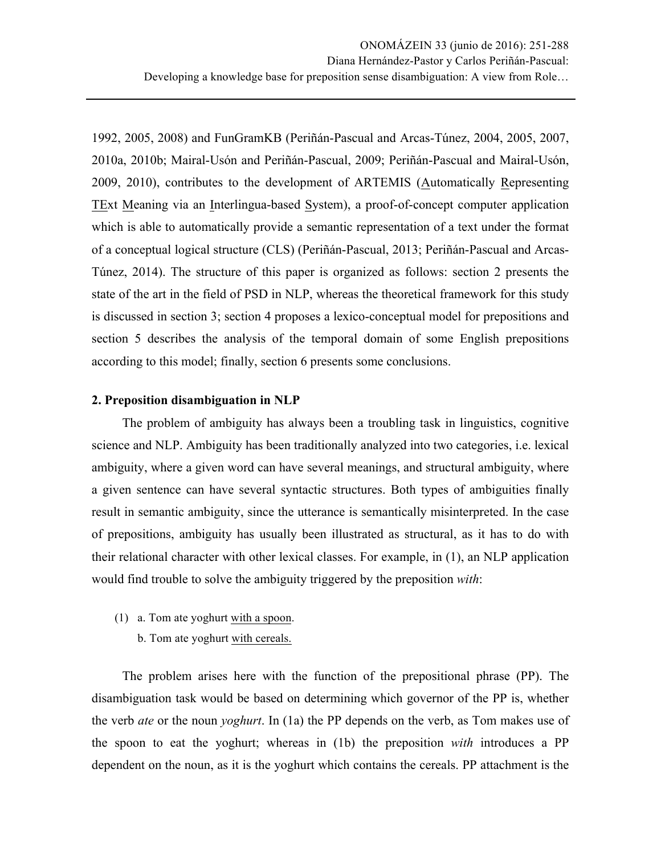1992, 2005, 2008) and FunGramKB (Periñán-Pascual and Arcas-Túnez, 2004, 2005, 2007, 2010a, 2010b; Mairal-Usón and Periñán-Pascual, 2009; Periñán-Pascual and Mairal-Usón, 2009, 2010), contributes to the development of ARTEMIS (Automatically Representing TExt Meaning via an Interlingua-based System), a proof-of-concept computer application which is able to automatically provide a semantic representation of a text under the format of a conceptual logical structure (CLS) (Periñán-Pascual, 2013; Periñán-Pascual and Arcas-Túnez, 2014). The structure of this paper is organized as follows: section 2 presents the state of the art in the field of PSD in NLP, whereas the theoretical framework for this study is discussed in section 3; section 4 proposes a lexico-conceptual model for prepositions and section 5 describes the analysis of the temporal domain of some English prepositions according to this model; finally, section 6 presents some conclusions.

# **2. Preposition disambiguation in NLP**

The problem of ambiguity has always been a troubling task in linguistics, cognitive science and NLP. Ambiguity has been traditionally analyzed into two categories, i.e. lexical ambiguity, where a given word can have several meanings, and structural ambiguity, where a given sentence can have several syntactic structures. Both types of ambiguities finally result in semantic ambiguity, since the utterance is semantically misinterpreted. In the case of prepositions, ambiguity has usually been illustrated as structural, as it has to do with their relational character with other lexical classes. For example, in (1), an NLP application would find trouble to solve the ambiguity triggered by the preposition *with*:

- (1) a. Tom ate yoghurt with a spoon.
	- b. Tom ate yoghurt with cereals.

The problem arises here with the function of the prepositional phrase (PP). The disambiguation task would be based on determining which governor of the PP is, whether the verb *ate* or the noun *yoghurt*. In (1a) the PP depends on the verb, as Tom makes use of the spoon to eat the yoghurt; whereas in (1b) the preposition *with* introduces a PP dependent on the noun, as it is the yoghurt which contains the cereals. PP attachment is the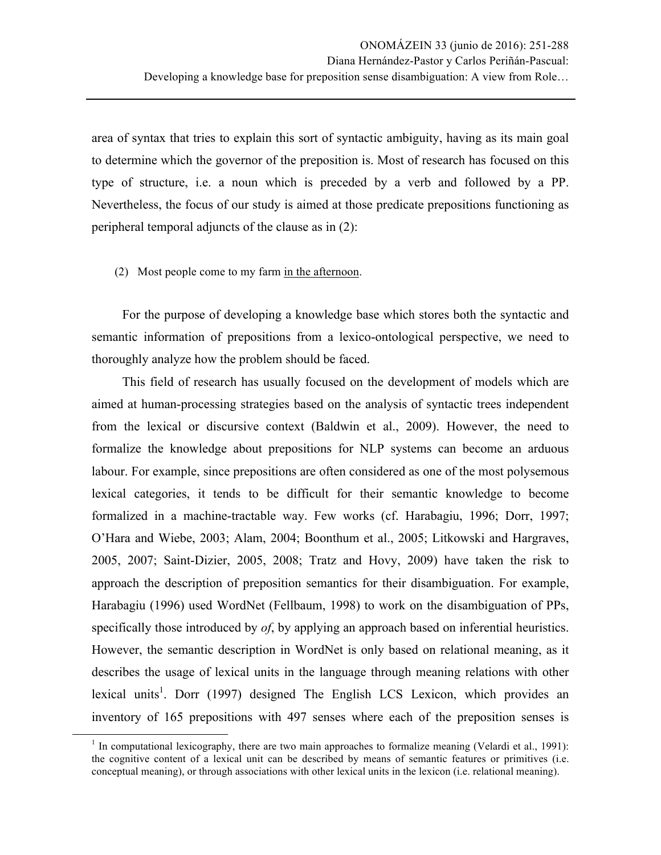area of syntax that tries to explain this sort of syntactic ambiguity, having as its main goal to determine which the governor of the preposition is. Most of research has focused on this type of structure, i.e. a noun which is preceded by a verb and followed by a PP. Nevertheless, the focus of our study is aimed at those predicate prepositions functioning as peripheral temporal adjuncts of the clause as in (2):

(2) Most people come to my farm in the afternoon.

For the purpose of developing a knowledge base which stores both the syntactic and semantic information of prepositions from a lexico-ontological perspective, we need to thoroughly analyze how the problem should be faced.

This field of research has usually focused on the development of models which are aimed at human-processing strategies based on the analysis of syntactic trees independent from the lexical or discursive context (Baldwin et al., 2009). However, the need to formalize the knowledge about prepositions for NLP systems can become an arduous labour. For example, since prepositions are often considered as one of the most polysemous lexical categories, it tends to be difficult for their semantic knowledge to become formalized in a machine-tractable way. Few works (cf. Harabagiu, 1996; Dorr, 1997; O'Hara and Wiebe, 2003; Alam, 2004; Boonthum et al., 2005; Litkowski and Hargraves, 2005, 2007; Saint-Dizier, 2005, 2008; Tratz and Hovy, 2009) have taken the risk to approach the description of preposition semantics for their disambiguation. For example, Harabagiu (1996) used WordNet (Fellbaum, 1998) to work on the disambiguation of PPs, specifically those introduced by *of*, by applying an approach based on inferential heuristics. However, the semantic description in WordNet is only based on relational meaning, as it describes the usage of lexical units in the language through meaning relations with other lexical units<sup>1</sup>. Dorr (1997) designed The English LCS Lexicon, which provides an inventory of 165 prepositions with 497 senses where each of the preposition senses is

<sup>&</sup>lt;sup>1</sup> In computational lexicography, there are two main approaches to formalize meaning (Velardi et al., 1991): the cognitive content of a lexical unit can be described by means of semantic features or primitives (i.e. conceptual meaning), or through associations with other lexical units in the lexicon (i.e. relational meaning).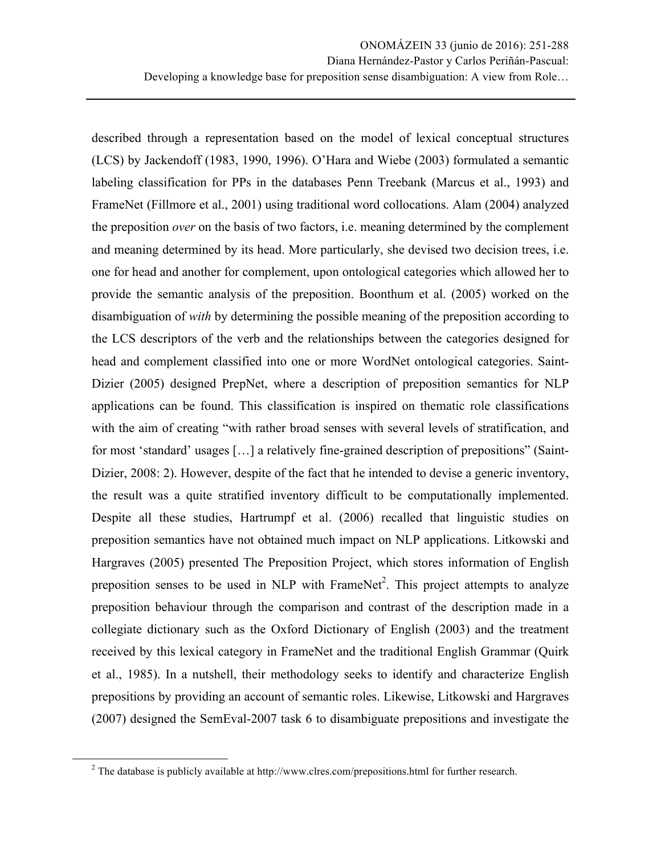described through a representation based on the model of lexical conceptual structures (LCS) by Jackendoff (1983, 1990, 1996). O'Hara and Wiebe (2003) formulated a semantic labeling classification for PPs in the databases Penn Treebank (Marcus et al., 1993) and FrameNet (Fillmore et al., 2001) using traditional word collocations. Alam (2004) analyzed the preposition *over* on the basis of two factors, i.e. meaning determined by the complement and meaning determined by its head. More particularly, she devised two decision trees, i.e. one for head and another for complement, upon ontological categories which allowed her to provide the semantic analysis of the preposition. Boonthum et al. (2005) worked on the disambiguation of *with* by determining the possible meaning of the preposition according to the LCS descriptors of the verb and the relationships between the categories designed for head and complement classified into one or more WordNet ontological categories. Saint-Dizier (2005) designed PrepNet, where a description of preposition semantics for NLP applications can be found. This classification is inspired on thematic role classifications with the aim of creating "with rather broad senses with several levels of stratification, and for most 'standard' usages […] a relatively fine-grained description of prepositions" (Saint-Dizier, 2008: 2). However, despite of the fact that he intended to devise a generic inventory, the result was a quite stratified inventory difficult to be computationally implemented. Despite all these studies, Hartrumpf et al. (2006) recalled that linguistic studies on preposition semantics have not obtained much impact on NLP applications. Litkowski and Hargraves (2005) presented The Preposition Project, which stores information of English preposition senses to be used in NLP with FrameNet<sup>2</sup>. This project attempts to analyze preposition behaviour through the comparison and contrast of the description made in a collegiate dictionary such as the Oxford Dictionary of English (2003) and the treatment received by this lexical category in FrameNet and the traditional English Grammar (Quirk et al., 1985). In a nutshell, their methodology seeks to identify and characterize English prepositions by providing an account of semantic roles. Likewise, Litkowski and Hargraves (2007) designed the SemEval-2007 task 6 to disambiguate prepositions and investigate the

<u> 1989 - Johann Stein, markin film yn y breninn y breninn y breninn y breninn y breninn y breninn y breninn y b</u>

<sup>&</sup>lt;sup>2</sup> The database is publicly available at http://www.clres.com/prepositions.html for further research.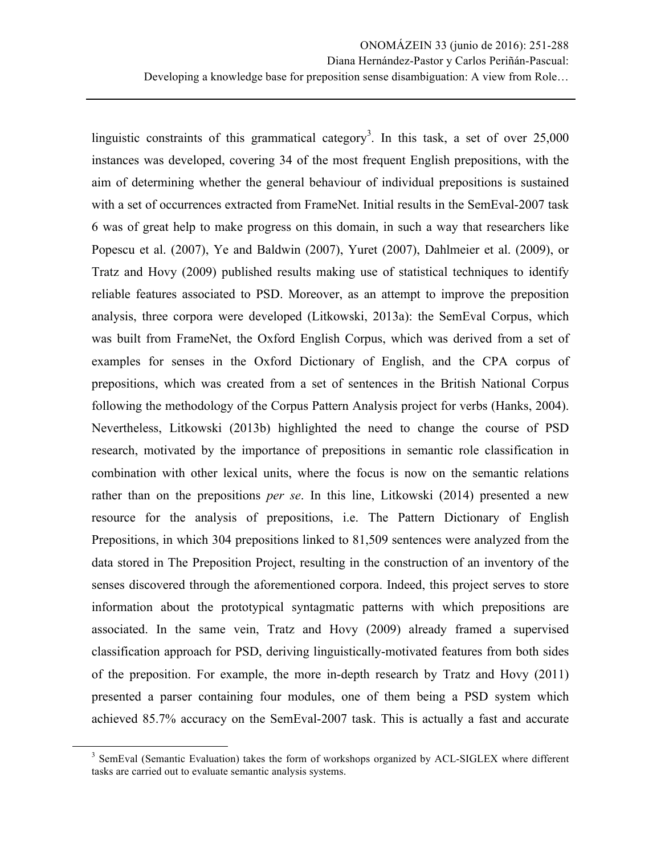linguistic constraints of this grammatical category<sup>3</sup>. In this task, a set of over  $25,000$ instances was developed, covering 34 of the most frequent English prepositions, with the aim of determining whether the general behaviour of individual prepositions is sustained with a set of occurrences extracted from FrameNet. Initial results in the SemEval-2007 task 6 was of great help to make progress on this domain, in such a way that researchers like Popescu et al. (2007), Ye and Baldwin (2007), Yuret (2007), Dahlmeier et al. (2009), or Tratz and Hovy (2009) published results making use of statistical techniques to identify reliable features associated to PSD. Moreover, as an attempt to improve the preposition analysis, three corpora were developed (Litkowski, 2013a): the SemEval Corpus, which was built from FrameNet, the Oxford English Corpus, which was derived from a set of examples for senses in the Oxford Dictionary of English, and the CPA corpus of prepositions, which was created from a set of sentences in the British National Corpus following the methodology of the Corpus Pattern Analysis project for verbs (Hanks, 2004). Nevertheless, Litkowski (2013b) highlighted the need to change the course of PSD research, motivated by the importance of prepositions in semantic role classification in combination with other lexical units, where the focus is now on the semantic relations rather than on the prepositions *per se*. In this line, Litkowski (2014) presented a new resource for the analysis of prepositions, i.e. The Pattern Dictionary of English Prepositions, in which 304 prepositions linked to 81,509 sentences were analyzed from the data stored in The Preposition Project, resulting in the construction of an inventory of the senses discovered through the aforementioned corpora. Indeed, this project serves to store information about the prototypical syntagmatic patterns with which prepositions are associated. In the same vein, Tratz and Hovy (2009) already framed a supervised classification approach for PSD, deriving linguistically-motivated features from both sides of the preposition. For example, the more in-depth research by Tratz and Hovy (2011) presented a parser containing four modules, one of them being a PSD system which achieved 85.7% accuracy on the SemEval-2007 task. This is actually a fast and accurate

<u> 1989 - Johann Stein, markin film yn y breninn y breninn y breninn y breninn y breninn y breninn y breninn y b</u>

<sup>&</sup>lt;sup>3</sup> SemEval (Semantic Evaluation) takes the form of workshops organized by ACL-SIGLEX where different tasks are carried out to evaluate semantic analysis systems.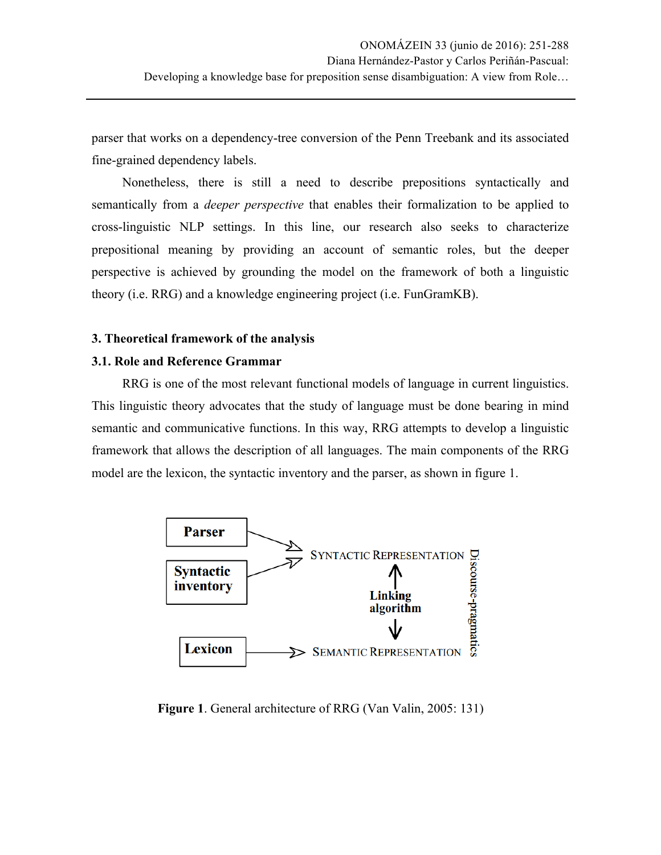parser that works on a dependency-tree conversion of the Penn Treebank and its associated fine-grained dependency labels.

Nonetheless, there is still a need to describe prepositions syntactically and semantically from a *deeper perspective* that enables their formalization to be applied to cross-linguistic NLP settings. In this line, our research also seeks to characterize prepositional meaning by providing an account of semantic roles, but the deeper perspective is achieved by grounding the model on the framework of both a linguistic theory (i.e. RRG) and a knowledge engineering project (i.e. FunGramKB).

# **3. Theoretical framework of the analysis**

# **3.1. Role and Reference Grammar**

RRG is one of the most relevant functional models of language in current linguistics. This linguistic theory advocates that the study of language must be done bearing in mind semantic and communicative functions. In this way, RRG attempts to develop a linguistic framework that allows the description of all languages. The main components of the RRG model are the lexicon, the syntactic inventory and the parser, as shown in figure 1.



**Figure 1**. General architecture of RRG (Van Valin, 2005: 131)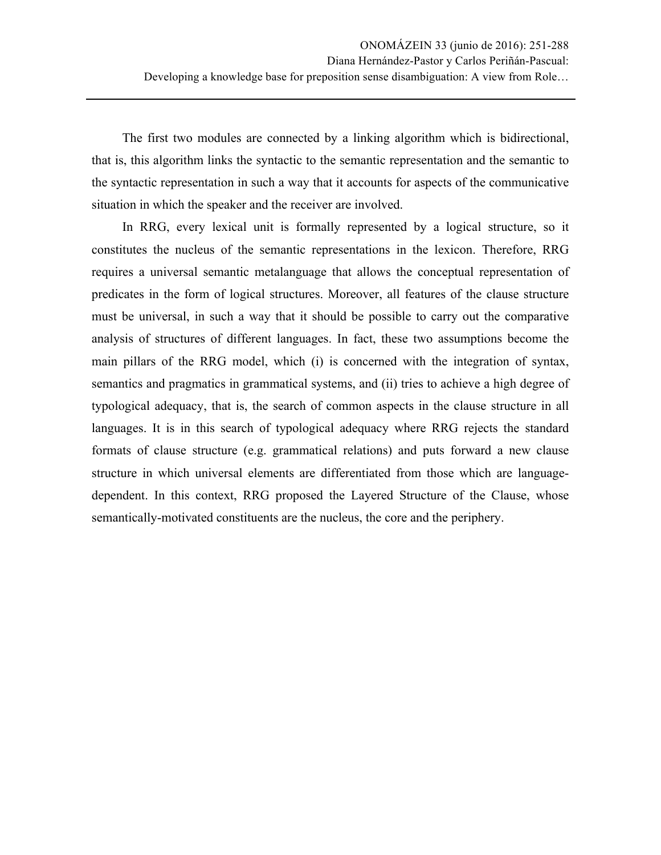The first two modules are connected by a linking algorithm which is bidirectional, that is, this algorithm links the syntactic to the semantic representation and the semantic to the syntactic representation in such a way that it accounts for aspects of the communicative situation in which the speaker and the receiver are involved.

In RRG, every lexical unit is formally represented by a logical structure, so it constitutes the nucleus of the semantic representations in the lexicon. Therefore, RRG requires a universal semantic metalanguage that allows the conceptual representation of predicates in the form of logical structures. Moreover, all features of the clause structure must be universal, in such a way that it should be possible to carry out the comparative analysis of structures of different languages. In fact, these two assumptions become the main pillars of the RRG model, which (i) is concerned with the integration of syntax, semantics and pragmatics in grammatical systems, and (ii) tries to achieve a high degree of typological adequacy, that is, the search of common aspects in the clause structure in all languages. It is in this search of typological adequacy where RRG rejects the standard formats of clause structure (e.g. grammatical relations) and puts forward a new clause structure in which universal elements are differentiated from those which are languagedependent. In this context, RRG proposed the Layered Structure of the Clause, whose semantically-motivated constituents are the nucleus, the core and the periphery.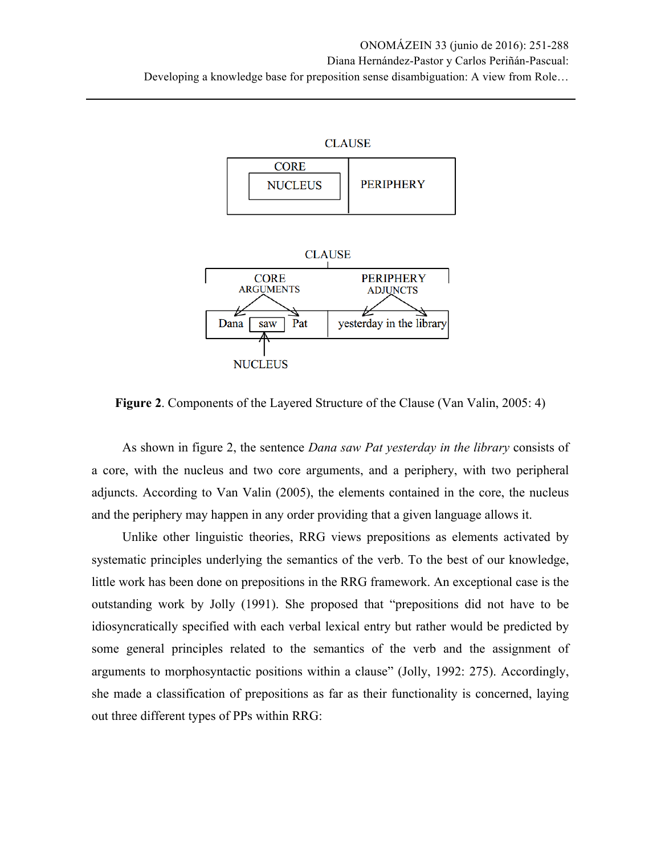



**Figure 2**. Components of the Layered Structure of the Clause (Van Valin, 2005: 4)

As shown in figure 2, the sentence *Dana saw Pat yesterday in the library* consists of a core, with the nucleus and two core arguments, and a periphery, with two peripheral adjuncts. According to Van Valin (2005), the elements contained in the core, the nucleus and the periphery may happen in any order providing that a given language allows it.

Unlike other linguistic theories, RRG views prepositions as elements activated by systematic principles underlying the semantics of the verb. To the best of our knowledge, little work has been done on prepositions in the RRG framework. An exceptional case is the outstanding work by Jolly (1991). She proposed that "prepositions did not have to be idiosyncratically specified with each verbal lexical entry but rather would be predicted by some general principles related to the semantics of the verb and the assignment of arguments to morphosyntactic positions within a clause" (Jolly, 1992: 275). Accordingly, she made a classification of prepositions as far as their functionality is concerned, laying out three different types of PPs within RRG: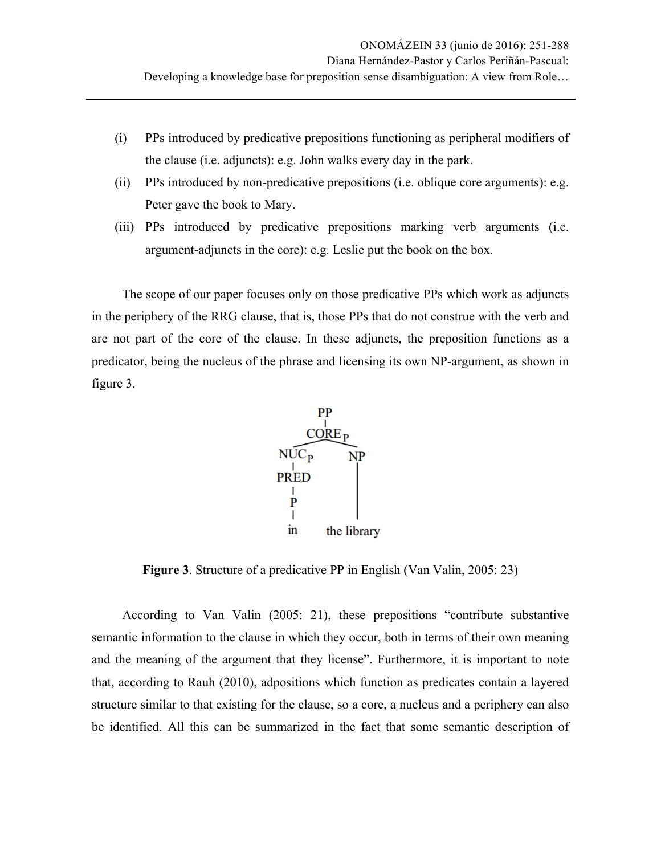- (i) PPs introduced by predicative prepositions functioning as peripheral modifiers of the clause (i.e. adjuncts): e.g. John walks every day in the park.
- (ii) PPs introduced by non-predicative prepositions (i.e. oblique core arguments): e.g. Peter gave the book to Mary.
- (iii) PPs introduced by predicative prepositions marking verb arguments (i.e. argument-adjuncts in the core): e.g. Leslie put the book on the box.

The scope of our paper focuses only on those predicative PPs which work as adjuncts in the periphery of the RRG clause, that is, those PPs that do not construe with the verb and are not part of the core of the clause. In these adjuncts, the preposition functions as a predicator, being the nucleus of the phrase and licensing its own NP-argument, as shown in figure 3.



**Figure 3**. Structure of a predicative PP in English (Van Valin, 2005: 23)

According to Van Valin (2005: 21), these prepositions "contribute substantive semantic information to the clause in which they occur, both in terms of their own meaning and the meaning of the argument that they license". Furthermore, it is important to note that, according to Rauh (2010), adpositions which function as predicates contain a layered structure similar to that existing for the clause, so a core, a nucleus and a periphery can also be identified. All this can be summarized in the fact that some semantic description of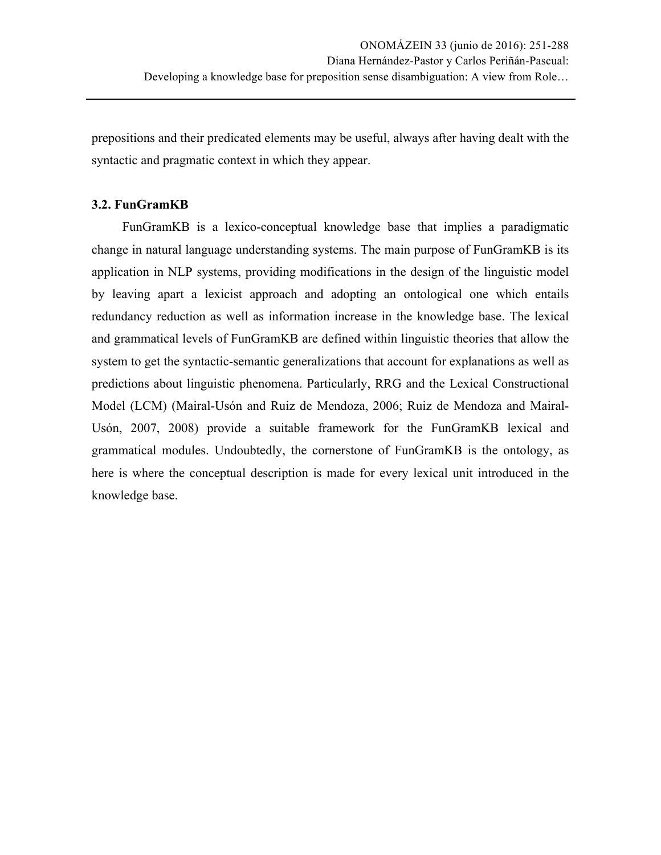prepositions and their predicated elements may be useful, always after having dealt with the syntactic and pragmatic context in which they appear.

# **3.2. FunGramKB**

FunGramKB is a lexico-conceptual knowledge base that implies a paradigmatic change in natural language understanding systems. The main purpose of FunGramKB is its application in NLP systems, providing modifications in the design of the linguistic model by leaving apart a lexicist approach and adopting an ontological one which entails redundancy reduction as well as information increase in the knowledge base. The lexical and grammatical levels of FunGramKB are defined within linguistic theories that allow the system to get the syntactic-semantic generalizations that account for explanations as well as predictions about linguistic phenomena. Particularly, RRG and the Lexical Constructional Model (LCM) (Mairal-Usón and Ruiz de Mendoza, 2006; Ruiz de Mendoza and Mairal-Usón, 2007, 2008) provide a suitable framework for the FunGramKB lexical and grammatical modules. Undoubtedly, the cornerstone of FunGramKB is the ontology, as here is where the conceptual description is made for every lexical unit introduced in the knowledge base.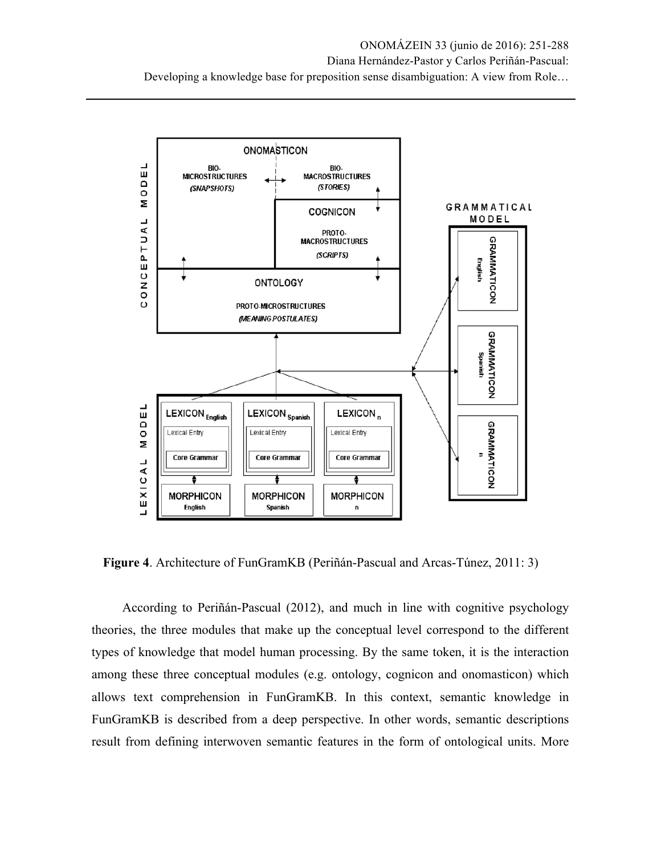

**Figure 4**. Architecture of FunGramKB (Periñán-Pascual and Arcas-Túnez, 2011: 3)

According to Periñán-Pascual (2012), and much in line with cognitive psychology theories, the three modules that make up the conceptual level correspond to the different types of knowledge that model human processing. By the same token, it is the interaction among these three conceptual modules (e.g. ontology, cognicon and onomasticon) which allows text comprehension in FunGramKB. In this context, semantic knowledge in FunGramKB is described from a deep perspective. In other words, semantic descriptions result from defining interwoven semantic features in the form of ontological units. More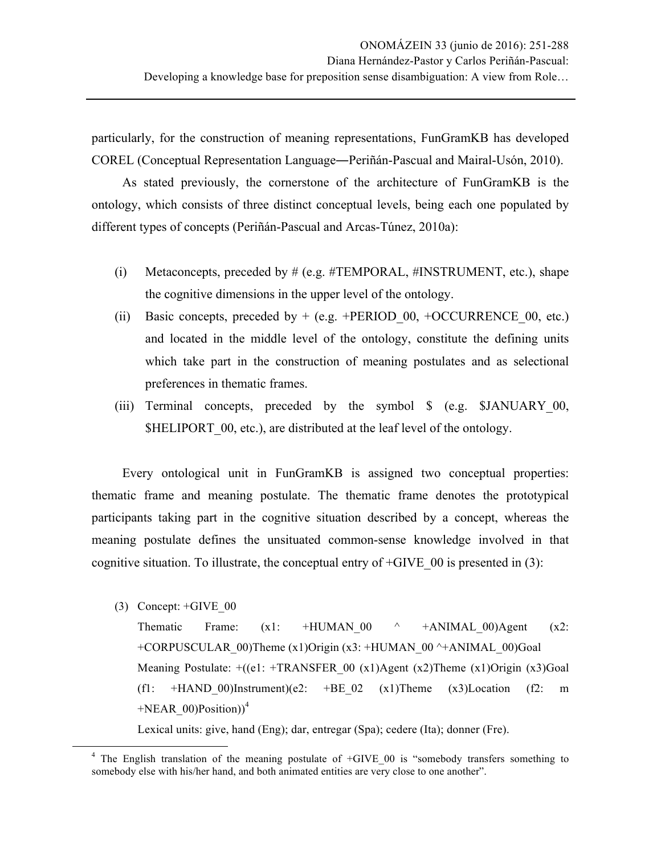particularly, for the construction of meaning representations, FunGramKB has developed COREL (Conceptual Representation Language―Periñán-Pascual and Mairal-Usón, 2010).

As stated previously, the cornerstone of the architecture of FunGramKB is the ontology, which consists of three distinct conceptual levels, being each one populated by different types of concepts (Periñán-Pascual and Arcas-Túnez, 2010a):

- (i) Metaconcepts, preceded by  $# (e.g., #TEMPORAL, #INSTRUMENT, etc.), shape$ the cognitive dimensions in the upper level of the ontology.
- (ii) Basic concepts, preceded by  $+$  (e.g.  $+$ PERIOD 00,  $+$ OCCURRENCE 00, etc.) and located in the middle level of the ontology, constitute the defining units which take part in the construction of meaning postulates and as selectional preferences in thematic frames.
- (iii) Terminal concepts, preceded by the symbol \$ (e.g. \$JANUARY 00, \$HELIPORT 00, etc.), are distributed at the leaf level of the ontology.

Every ontological unit in FunGramKB is assigned two conceptual properties: thematic frame and meaning postulate. The thematic frame denotes the prototypical participants taking part in the cognitive situation described by a concept, whereas the meaning postulate defines the unsituated common-sense knowledge involved in that cognitive situation. To illustrate, the conceptual entry of  $+GIVE$  00 is presented in (3):

(3) Concept: +GIVE\_00

<u> 1989 - Johann Stein, markin film yn y breninn y breninn y breninn y breninn y breninn y breninn y breninn y b</u>

Thematic Frame:  $(x1: +HUMAN 00 \t^+ +ANIMAL 00)$ Agent  $(x2:$ +CORPUSCULAR\_00)Theme (x1)Origin (x3: +HUMAN\_00 ^+ANIMAL\_00)Goal Meaning Postulate:  $+((e1: +TRANSFER 00 (x1)Agent (x2)Thene (x1)Origin (x3)Goal$ (f1: +HAND 00)Instrument)(e2: +BE 02 (x1)Theme (x3)Location (f2: m  $+NEAR$  00)Position))<sup>4</sup>

Lexical units: give, hand (Eng); dar, entregar (Spa); cedere (Ita); donner (Fre).

 $4$  The English translation of the meaning postulate of  $+GIVE$  00 is "somebody transfers something to somebody else with his/her hand, and both animated entities are very close to one another".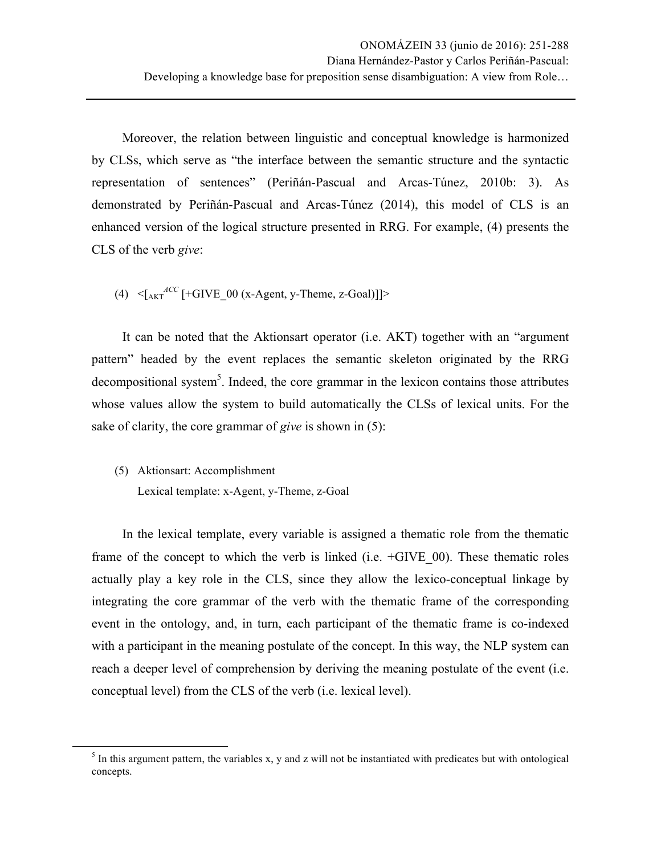Moreover, the relation between linguistic and conceptual knowledge is harmonized by CLSs, which serve as "the interface between the semantic structure and the syntactic representation of sentences" (Periñán-Pascual and Arcas-Túnez, 2010b: 3). As demonstrated by Periñán-Pascual and Arcas-Túnez (2014), this model of CLS is an enhanced version of the logical structure presented in RRG. For example, (4) presents the CLS of the verb *give*:

(4)  $\leq$   $\left[\frac{ACC}{AKT}$   $[+GIVE_00$  (x-Agent, y-Theme, z-Goal)]]>

It can be noted that the Aktionsart operator (i.e. AKT) together with an "argument pattern" headed by the event replaces the semantic skeleton originated by the RRG decompositional system<sup>5</sup>. Indeed, the core grammar in the lexicon contains those attributes whose values allow the system to build automatically the CLSs of lexical units. For the sake of clarity, the core grammar of *give* is shown in (5):

(5) Aktionsart: Accomplishment Lexical template: x-Agent, y-Theme, z-Goal

<u> 1989 - Johann Stein, markin film yn y breninn y breninn y breninn y breninn y breninn y breninn y breninn y b</u>

In the lexical template, every variable is assigned a thematic role from the thematic frame of the concept to which the verb is linked (i.e.  $+GIVE$  00). These thematic roles actually play a key role in the CLS, since they allow the lexico-conceptual linkage by integrating the core grammar of the verb with the thematic frame of the corresponding event in the ontology, and, in turn, each participant of the thematic frame is co-indexed with a participant in the meaning postulate of the concept. In this way, the NLP system can reach a deeper level of comprehension by deriving the meaning postulate of the event (i.e. conceptual level) from the CLS of the verb (i.e. lexical level).

 $<sup>5</sup>$  In this argument pattern, the variables x, y and z will not be instantiated with predicates but with ontological</sup> concepts.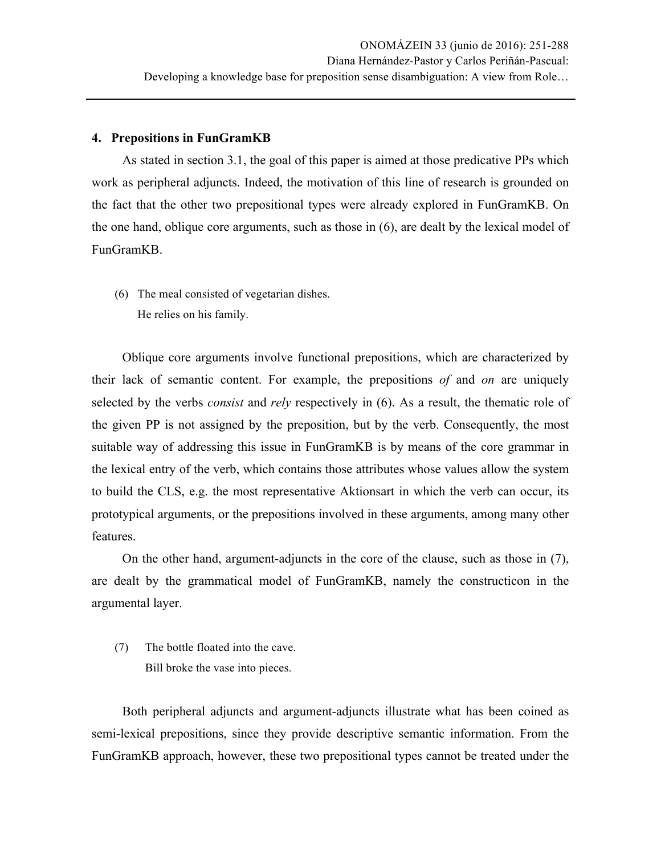## **4. Prepositions in FunGramKB**

As stated in section 3.1, the goal of this paper is aimed at those predicative PPs which work as peripheral adjuncts. Indeed, the motivation of this line of research is grounded on the fact that the other two prepositional types were already explored in FunGramKB. On the one hand, oblique core arguments, such as those in (6), are dealt by the lexical model of FunGramKB.

(6) The meal consisted of vegetarian dishes. He relies on his family.

Oblique core arguments involve functional prepositions, which are characterized by their lack of semantic content. For example, the prepositions *of* and *on* are uniquely selected by the verbs *consist* and *rely* respectively in (6). As a result, the thematic role of the given PP is not assigned by the preposition, but by the verb. Consequently, the most suitable way of addressing this issue in FunGramKB is by means of the core grammar in the lexical entry of the verb, which contains those attributes whose values allow the system to build the CLS, e.g. the most representative Aktionsart in which the verb can occur, its prototypical arguments, or the prepositions involved in these arguments, among many other features.

On the other hand, argument-adjuncts in the core of the clause, such as those in (7), are dealt by the grammatical model of FunGramKB, namely the constructicon in the argumental layer.

(7) The bottle floated into the cave. Bill broke the vase into pieces.

Both peripheral adjuncts and argument-adjuncts illustrate what has been coined as semi-lexical prepositions, since they provide descriptive semantic information. From the FunGramKB approach, however, these two prepositional types cannot be treated under the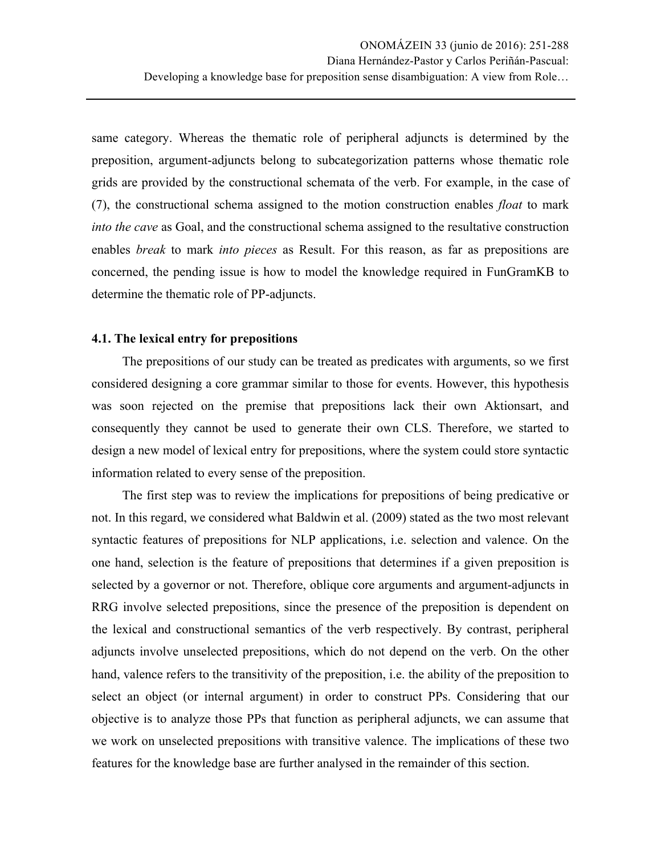same category. Whereas the thematic role of peripheral adjuncts is determined by the preposition, argument-adjuncts belong to subcategorization patterns whose thematic role grids are provided by the constructional schemata of the verb. For example, in the case of (7), the constructional schema assigned to the motion construction enables *float* to mark *into the cave* as Goal, and the constructional schema assigned to the resultative construction enables *break* to mark *into pieces* as Result. For this reason, as far as prepositions are concerned, the pending issue is how to model the knowledge required in FunGramKB to determine the thematic role of PP-adjuncts.

# **4.1. The lexical entry for prepositions**

The prepositions of our study can be treated as predicates with arguments, so we first considered designing a core grammar similar to those for events. However, this hypothesis was soon rejected on the premise that prepositions lack their own Aktionsart, and consequently they cannot be used to generate their own CLS. Therefore, we started to design a new model of lexical entry for prepositions, where the system could store syntactic information related to every sense of the preposition.

The first step was to review the implications for prepositions of being predicative or not. In this regard, we considered what Baldwin et al. (2009) stated as the two most relevant syntactic features of prepositions for NLP applications, i.e. selection and valence. On the one hand, selection is the feature of prepositions that determines if a given preposition is selected by a governor or not. Therefore, oblique core arguments and argument-adjuncts in RRG involve selected prepositions, since the presence of the preposition is dependent on the lexical and constructional semantics of the verb respectively. By contrast, peripheral adjuncts involve unselected prepositions, which do not depend on the verb. On the other hand, valence refers to the transitivity of the preposition, i.e. the ability of the preposition to select an object (or internal argument) in order to construct PPs. Considering that our objective is to analyze those PPs that function as peripheral adjuncts, we can assume that we work on unselected prepositions with transitive valence. The implications of these two features for the knowledge base are further analysed in the remainder of this section.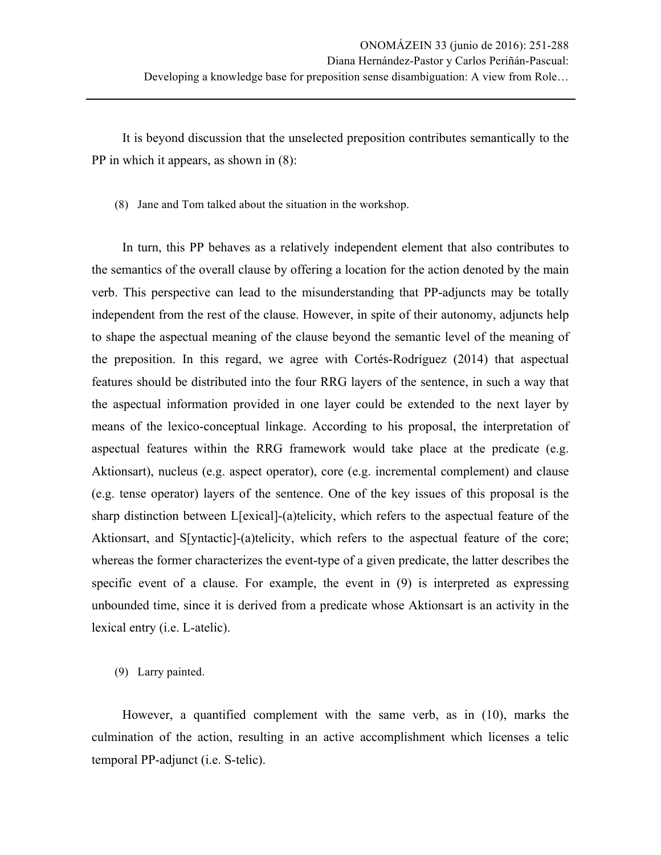It is beyond discussion that the unselected preposition contributes semantically to the PP in which it appears, as shown in (8):

(8) Jane and Tom talked about the situation in the workshop.

In turn, this PP behaves as a relatively independent element that also contributes to the semantics of the overall clause by offering a location for the action denoted by the main verb. This perspective can lead to the misunderstanding that PP-adjuncts may be totally independent from the rest of the clause. However, in spite of their autonomy, adjuncts help to shape the aspectual meaning of the clause beyond the semantic level of the meaning of the preposition. In this regard, we agree with Cortés-Rodríguez (2014) that aspectual features should be distributed into the four RRG layers of the sentence, in such a way that the aspectual information provided in one layer could be extended to the next layer by means of the lexico-conceptual linkage. According to his proposal, the interpretation of aspectual features within the RRG framework would take place at the predicate (e.g. Aktionsart), nucleus (e.g. aspect operator), core (e.g. incremental complement) and clause (e.g. tense operator) layers of the sentence. One of the key issues of this proposal is the sharp distinction between L[exical]-(a)telicity, which refers to the aspectual feature of the Aktionsart, and S[yntactic]-(a)telicity, which refers to the aspectual feature of the core; whereas the former characterizes the event-type of a given predicate, the latter describes the specific event of a clause. For example, the event in (9) is interpreted as expressing unbounded time, since it is derived from a predicate whose Aktionsart is an activity in the lexical entry (i.e. L-atelic).

(9) Larry painted.

However, a quantified complement with the same verb, as in (10), marks the culmination of the action, resulting in an active accomplishment which licenses a telic temporal PP-adjunct (i.e. S-telic).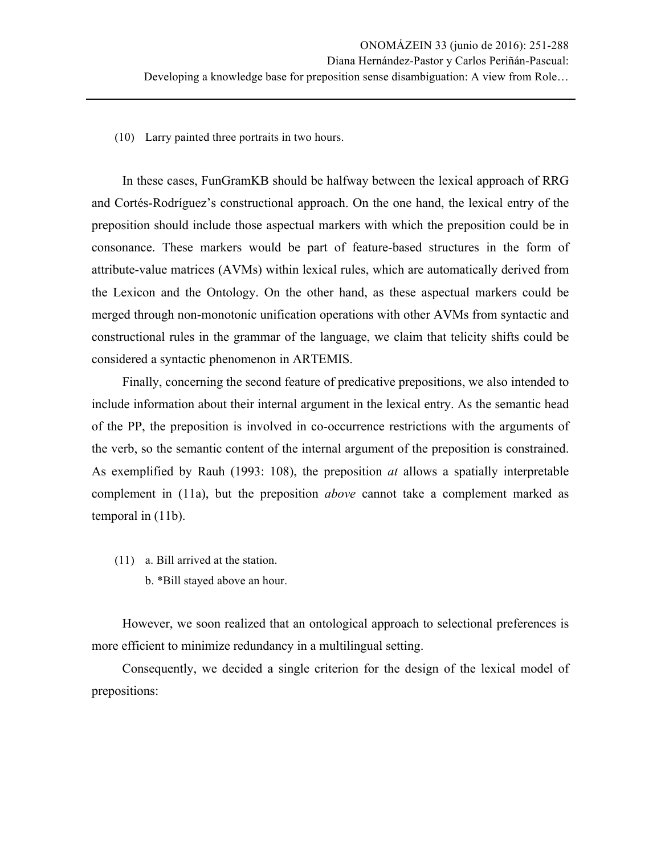(10) Larry painted three portraits in two hours.

In these cases, FunGramKB should be halfway between the lexical approach of RRG and Cortés-Rodríguez's constructional approach. On the one hand, the lexical entry of the preposition should include those aspectual markers with which the preposition could be in consonance. These markers would be part of feature-based structures in the form of attribute-value matrices (AVMs) within lexical rules, which are automatically derived from the Lexicon and the Ontology. On the other hand, as these aspectual markers could be merged through non-monotonic unification operations with other AVMs from syntactic and constructional rules in the grammar of the language, we claim that telicity shifts could be considered a syntactic phenomenon in ARTEMIS.

Finally, concerning the second feature of predicative prepositions, we also intended to include information about their internal argument in the lexical entry. As the semantic head of the PP, the preposition is involved in co-occurrence restrictions with the arguments of the verb, so the semantic content of the internal argument of the preposition is constrained. As exemplified by Rauh (1993: 108), the preposition *at* allows a spatially interpretable complement in (11a), but the preposition *above* cannot take a complement marked as temporal in (11b).

(11) a. Bill arrived at the station. b. \*Bill stayed above an hour.

However, we soon realized that an ontological approach to selectional preferences is more efficient to minimize redundancy in a multilingual setting.

Consequently, we decided a single criterion for the design of the lexical model of prepositions: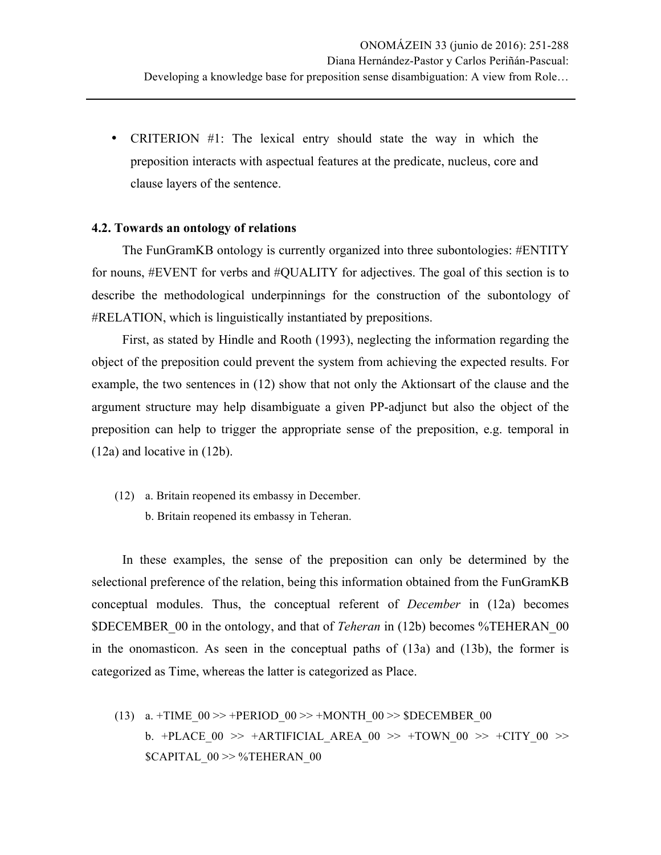• CRITERION #1: The lexical entry should state the way in which the preposition interacts with aspectual features at the predicate, nucleus, core and clause layers of the sentence.

#### **4.2. Towards an ontology of relations**

The FunGramKB ontology is currently organized into three subontologies: #ENTITY for nouns, #EVENT for verbs and #QUALITY for adjectives. The goal of this section is to describe the methodological underpinnings for the construction of the subontology of #RELATION, which is linguistically instantiated by prepositions.

First, as stated by Hindle and Rooth (1993), neglecting the information regarding the object of the preposition could prevent the system from achieving the expected results. For example, the two sentences in (12) show that not only the Aktionsart of the clause and the argument structure may help disambiguate a given PP-adjunct but also the object of the preposition can help to trigger the appropriate sense of the preposition, e.g. temporal in (12a) and locative in (12b).

(12) a. Britain reopened its embassy in December. b. Britain reopened its embassy in Teheran.

In these examples, the sense of the preposition can only be determined by the selectional preference of the relation, being this information obtained from the FunGramKB conceptual modules. Thus, the conceptual referent of *December* in (12a) becomes \$DECEMBER\_00 in the ontology, and that of *Teheran* in (12b) becomes %TEHERAN\_00 in the onomasticon. As seen in the conceptual paths of (13a) and (13b), the former is categorized as Time, whereas the latter is categorized as Place.

(13) a. +TIME  $00 \gg$  +PERIOD  $00 \gg$  +MONTH  $00 \gg$  \$DECEMBER 00 b. +PLACE  $00 \gg$  +ARTIFICIAL AREA  $00 \gg$  +TOWN  $00 \gg$  +CITY  $00 \gg$ \$CAPITAL\_00 >> %TEHERAN\_00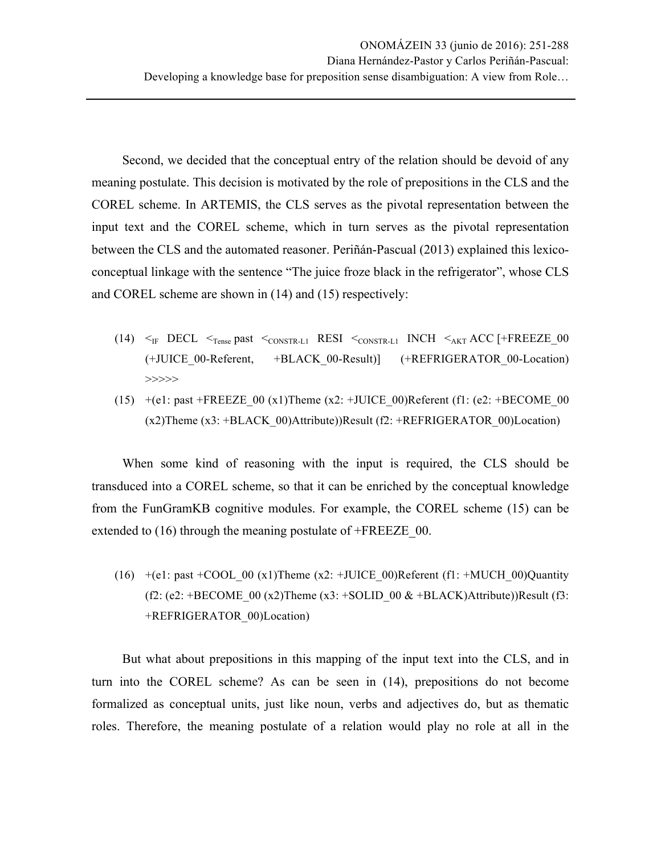Second, we decided that the conceptual entry of the relation should be devoid of any meaning postulate. This decision is motivated by the role of prepositions in the CLS and the COREL scheme. In ARTEMIS, the CLS serves as the pivotal representation between the input text and the COREL scheme, which in turn serves as the pivotal representation between the CLS and the automated reasoner. Periñán-Pascual (2013) explained this lexicoconceptual linkage with the sentence "The juice froze black in the refrigerator", whose CLS and COREL scheme are shown in (14) and (15) respectively:

- (14)  $\leq$ <sub>IF</sub> DECL  $\leq$ <sub>Tense</sub> past  $\leq$ <sub>CONSTR-L1</sub> RESI  $\leq$ <sub>CONSTR-L1</sub> INCH  $\leq$ <sub>AKT</sub> ACC [+FREEZE 00 (+JUICE\_00-Referent, +BLACK\_00-Result)] (+REFRIGERATOR\_00-Location) >>>>>
- (15)  $+(e1: past + FREEZE_00 (x1)Then (x2: +JUICE_00)Referent (f1: (e2: +BECOME_00))$  $(x2)$ Theme  $(x3: +BLACK_00)$ Attribute))Result  $(f2: +REFRIGERATOR_00)$ Location)

When some kind of reasoning with the input is required, the CLS should be transduced into a COREL scheme, so that it can be enriched by the conceptual knowledge from the FunGramKB cognitive modules. For example, the COREL scheme (15) can be extended to (16) through the meaning postulate of +FREEZE 00.

(16)  $+(e1: past + COOL\_00 (x1)$ Theme (x2: +JUICE 00)Referent (f1: +MUCH 00)Quantity (f2: (e2: +BECOME 00 (x2)Theme (x3: +SOLID\_00  $&$  +BLACK)Attribute))Result (f3: +REFRIGERATOR\_00)Location)

But what about prepositions in this mapping of the input text into the CLS, and in turn into the COREL scheme? As can be seen in (14), prepositions do not become formalized as conceptual units, just like noun, verbs and adjectives do, but as thematic roles. Therefore, the meaning postulate of a relation would play no role at all in the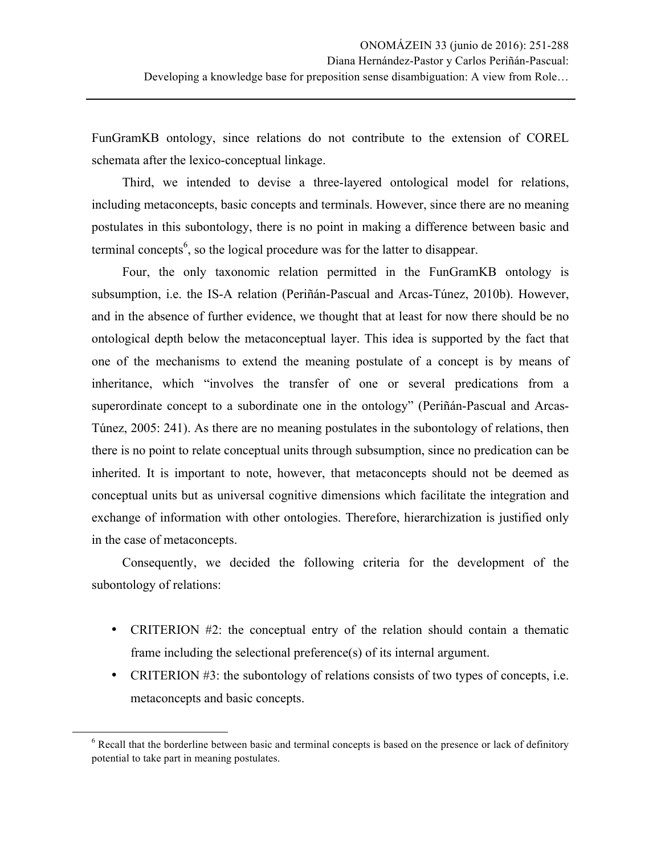FunGramKB ontology, since relations do not contribute to the extension of COREL schemata after the lexico-conceptual linkage.

Third, we intended to devise a three-layered ontological model for relations, including metaconcepts, basic concepts and terminals. However, since there are no meaning postulates in this subontology, there is no point in making a difference between basic and terminal concepts<sup>6</sup>, so the logical procedure was for the latter to disappear.

Four, the only taxonomic relation permitted in the FunGramKB ontology is subsumption, i.e. the IS-A relation (Periñán-Pascual and Arcas-Túnez, 2010b). However, and in the absence of further evidence, we thought that at least for now there should be no ontological depth below the metaconceptual layer. This idea is supported by the fact that one of the mechanisms to extend the meaning postulate of a concept is by means of inheritance, which "involves the transfer of one or several predications from a superordinate concept to a subordinate one in the ontology" (Periñán-Pascual and Arcas-Túnez, 2005: 241). As there are no meaning postulates in the subontology of relations, then there is no point to relate conceptual units through subsumption, since no predication can be inherited. It is important to note, however, that metaconcepts should not be deemed as conceptual units but as universal cognitive dimensions which facilitate the integration and exchange of information with other ontologies. Therefore, hierarchization is justified only in the case of metaconcepts.

Consequently, we decided the following criteria for the development of the subontology of relations:

- CRITERION #2: the conceptual entry of the relation should contain a thematic frame including the selectional preference(s) of its internal argument.
- CRITERION #3: the subontology of relations consists of two types of concepts, i.e. metaconcepts and basic concepts.

<u> 1989 - Johann Stein, markin film yn y breninn y breninn y breninn y breninn y breninn y breninn y breninn y b</u>

<sup>&</sup>lt;sup>6</sup> Recall that the borderline between basic and terminal concepts is based on the presence or lack of definitory potential to take part in meaning postulates.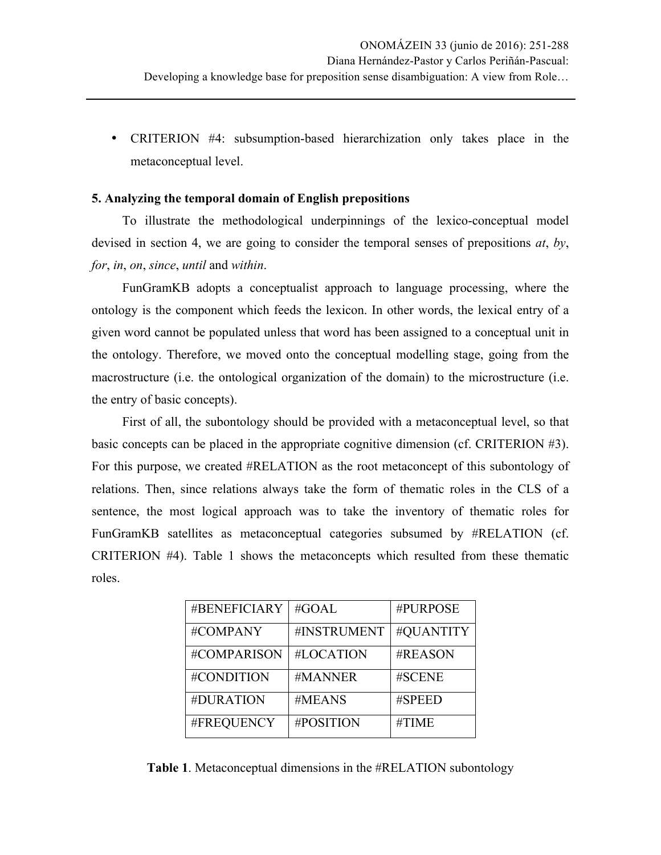• CRITERION #4: subsumption-based hierarchization only takes place in the metaconceptual level.

## **5. Analyzing the temporal domain of English prepositions**

To illustrate the methodological underpinnings of the lexico-conceptual model devised in section 4, we are going to consider the temporal senses of prepositions *at*, *by*, *for*, *in*, *on*, *since*, *until* and *within*.

FunGramKB adopts a conceptualist approach to language processing, where the ontology is the component which feeds the lexicon. In other words, the lexical entry of a given word cannot be populated unless that word has been assigned to a conceptual unit in the ontology. Therefore, we moved onto the conceptual modelling stage, going from the macrostructure (i.e. the ontological organization of the domain) to the microstructure (i.e. the entry of basic concepts).

First of all, the subontology should be provided with a metaconceptual level, so that basic concepts can be placed in the appropriate cognitive dimension (cf. CRITERION #3). For this purpose, we created #RELATION as the root metaconcept of this subontology of relations. Then, since relations always take the form of thematic roles in the CLS of a sentence, the most logical approach was to take the inventory of thematic roles for FunGramKB satellites as metaconceptual categories subsumed by #RELATION (cf. CRITERION #4). Table 1 shows the metaconcepts which resulted from these thematic roles.

| #BENEFICIARY | #GOAL       | #PURPOSE  |
|--------------|-------------|-----------|
| #COMPANY     | #INSTRUMENT | #QUANTITY |
| #COMPARISON  | #LOCATION   | #REASON   |
| #CONDITION   | #MANNER     | #SCENE    |
| #DURATION    | #MEANS      | #SPEED    |
| #FREQUENCY   | #POSITION   | #TIME     |

**Table 1**. Metaconceptual dimensions in the #RELATION subontology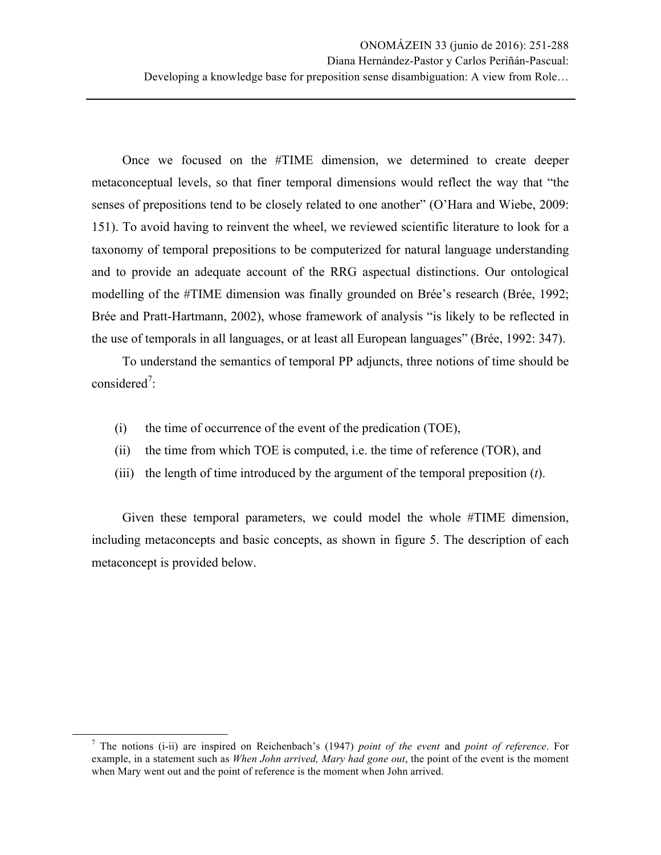Once we focused on the #TIME dimension, we determined to create deeper metaconceptual levels, so that finer temporal dimensions would reflect the way that "the senses of prepositions tend to be closely related to one another" (O'Hara and Wiebe, 2009: 151). To avoid having to reinvent the wheel, we reviewed scientific literature to look for a taxonomy of temporal prepositions to be computerized for natural language understanding and to provide an adequate account of the RRG aspectual distinctions. Our ontological modelling of the #TIME dimension was finally grounded on Brée's research (Brée, 1992; Brée and Pratt-Hartmann, 2002), whose framework of analysis "is likely to be reflected in the use of temporals in all languages, or at least all European languages" (Brée, 1992: 347).

To understand the semantics of temporal PP adjuncts, three notions of time should be considered<sup>7</sup>:

- (i) the time of occurrence of the event of the predication (TOE),
- (ii) the time from which TOE is computed, i.e. the time of reference (TOR), and
- (iii) the length of time introduced by the argument of the temporal preposition (*t*).

Given these temporal parameters, we could model the whole #TIME dimension, including metaconcepts and basic concepts, as shown in figure 5. The description of each metaconcept is provided below.

 <sup>7</sup> The notions (i-ii) are inspired on Reichenbach's (1947) *point of the event* and *point of reference*. For example, in a statement such as *When John arrived, Mary had gone out*, the point of the event is the moment when Mary went out and the point of reference is the moment when John arrived.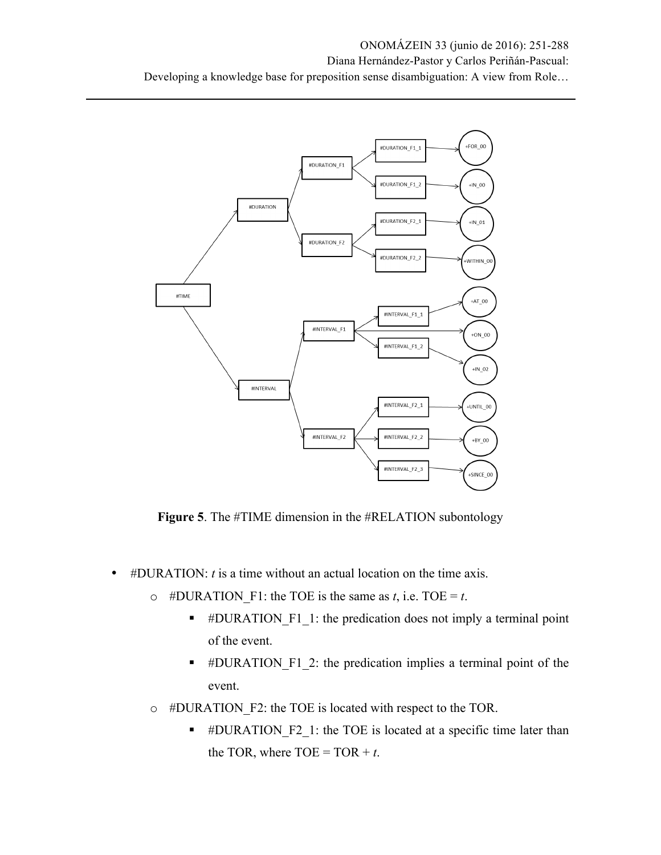

**Figure 5**. The #TIME dimension in the #RELATION subontology

- #DURATION: *t* is a time without an actual location on the time axis.
	- $\circ$  #DURATION F1: the TOE is the same as *t*, i.e. TOE = *t*.
		- #DURATION F1 1: the predication does not imply a terminal point of the event.
		- #DURATION F1 2: the predication implies a terminal point of the event.
	- o #DURATION\_F2: the TOE is located with respect to the TOR.
		- #DURATION F2 1: the TOE is located at a specific time later than the TOR, where  $TOE = TOR + t$ .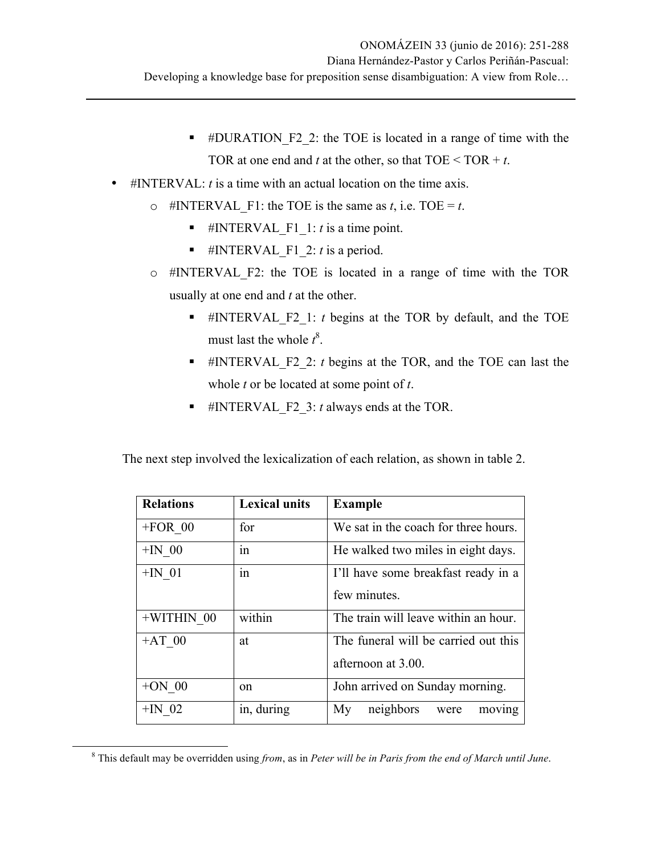- § #DURATION\_F2\_2: the TOE is located in a range of time with the TOR at one end and  $t$  at the other, so that  $TOE < TOR + t$ .
- #INTERVAL: *t* is a time with an actual location on the time axis.
	- $\circ$  #INTERVAL F1: the TOE is the same as *t*, i.e. TOE = *t*.
		- **•** #INTERVAL F1 1: *t* is a time point.
		- **•** #INTERVAL F1 2: *t* is a period.
	- o #INTERVAL\_F2: the TOE is located in a range of time with the TOR usually at one end and *t* at the other.
		- § #INTERVAL\_F2\_1: *t* begins at the TOR by default, and the TOE must last the whole  $t^8$ .
		- § #INTERVAL\_F2\_2: *t* begins at the TOR, and the TOE can last the whole *t* or be located at some point of *t*.
		- § #INTERVAL\_F2\_3: *t* always ends at the TOR.

The next step involved the lexicalization of each relation, as shown in table 2.

| <b>Relations</b> | <b>Lexical units</b>       | <b>Example</b>                       |  |
|------------------|----------------------------|--------------------------------------|--|
| $+FOR$ 00        | for                        | We sat in the coach for three hours. |  |
| $+IN$ 00         | 1n                         | He walked two miles in eight days.   |  |
| $+IN$ 01         | $\ddot{\phantom{0}}$<br>1n | I'll have some breakfast ready in a  |  |
|                  |                            | few minutes.                         |  |
| $+WITHIN$ 00     | within                     | The train will leave within an hour. |  |
| $+AT$ 00         | at                         | The funeral will be carried out this |  |
|                  |                            | afternoon at 3.00.                   |  |
| $+ON$ 00         | <sub>on</sub>              | John arrived on Sunday morning.      |  |
| $+IN$ 02         | in, during                 | neighbors<br>My<br>moving<br>were    |  |

 <sup>8</sup> This default may be overridden using *from*, as in *Peter will be in Paris from the end of March until June*.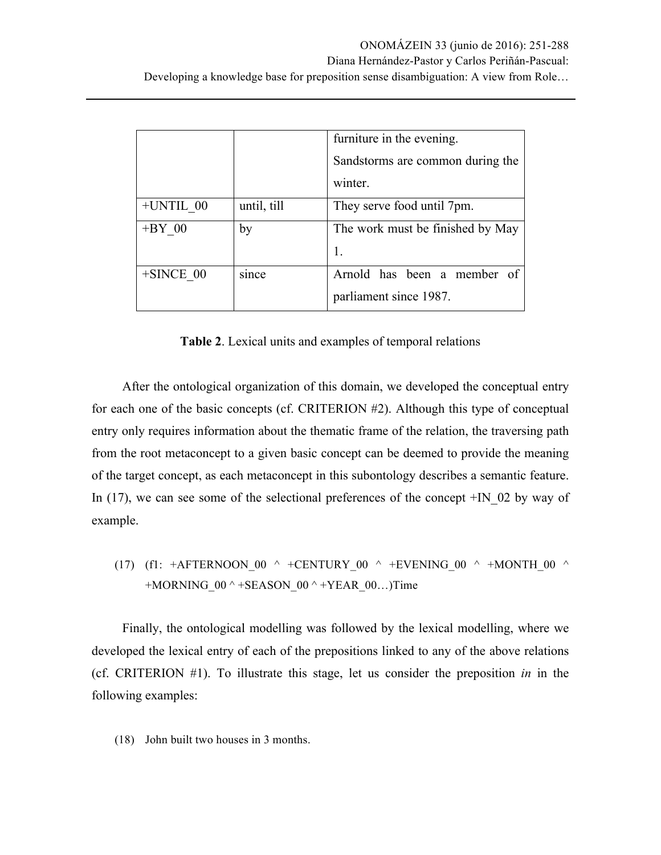|              |             | furniture in the evening.        |  |
|--------------|-------------|----------------------------------|--|
|              |             | Sandstorms are common during the |  |
|              |             | winter.                          |  |
| $+UNTIL$ 00  | until, till | They serve food until 7pm.       |  |
| $+BY$ 00     | by          | The work must be finished by May |  |
|              |             | 1.                               |  |
| $+$ SINCE 00 | since       | Arnold has been a member of      |  |
|              |             | parliament since 1987.           |  |

**Table 2**. Lexical units and examples of temporal relations

After the ontological organization of this domain, we developed the conceptual entry for each one of the basic concepts (cf. CRITERION #2). Although this type of conceptual entry only requires information about the thematic frame of the relation, the traversing path from the root metaconcept to a given basic concept can be deemed to provide the meaning of the target concept, as each metaconcept in this subontology describes a semantic feature. In (17), we can see some of the selectional preferences of the concept  $+IN_02$  by way of example.

(17) (f1: 
$$
+AFTERNOON_00 \wedge +CENTURY_00 \wedge +EVENING_00 \wedge +MONTH_00 \wedge +MORNING_00 \wedge +SEASON_00 \wedge +YEAR_00...)
$$

Finally, the ontological modelling was followed by the lexical modelling, where we developed the lexical entry of each of the prepositions linked to any of the above relations (cf. CRITERION #1). To illustrate this stage, let us consider the preposition *in* in the following examples:

(18) John built two houses in 3 months.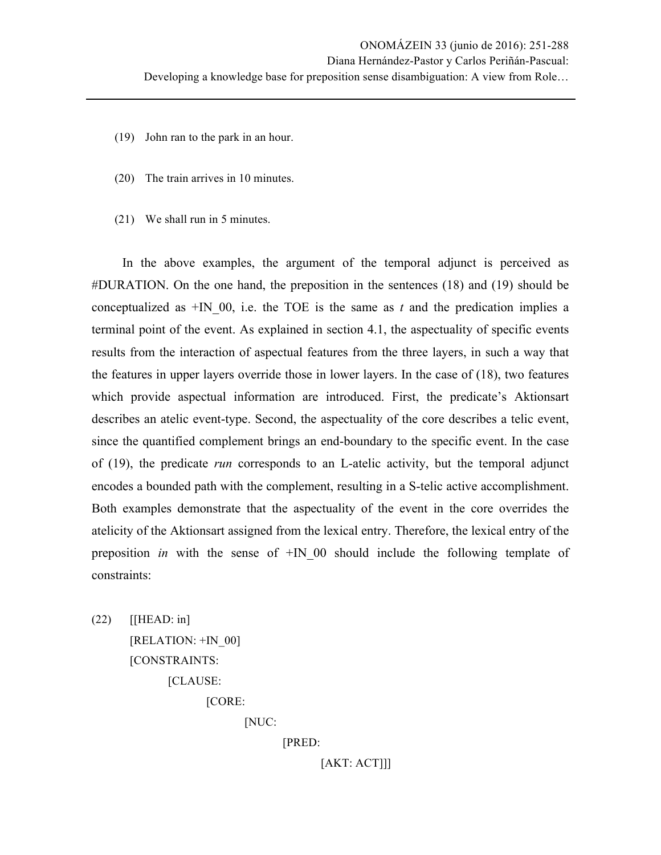- (19) John ran to the park in an hour.
- (20) The train arrives in 10 minutes.
- (21) We shall run in 5 minutes.

In the above examples, the argument of the temporal adjunct is perceived as #DURATION. On the one hand, the preposition in the sentences (18) and (19) should be conceptualized as  $+N$  00, i.e. the TOE is the same as  $t$  and the predication implies a terminal point of the event. As explained in section 4.1, the aspectuality of specific events results from the interaction of aspectual features from the three layers, in such a way that the features in upper layers override those in lower layers. In the case of (18), two features which provide aspectual information are introduced. First, the predicate's Aktionsart describes an atelic event-type. Second, the aspectuality of the core describes a telic event, since the quantified complement brings an end-boundary to the specific event. In the case of (19), the predicate *run* corresponds to an L-atelic activity, but the temporal adjunct encodes a bounded path with the complement, resulting in a S-telic active accomplishment. Both examples demonstrate that the aspectuality of the event in the core overrides the atelicity of the Aktionsart assigned from the lexical entry. Therefore, the lexical entry of the preposition *in* with the sense of +IN\_00 should include the following template of constraints:

(22) [[HEAD: in]

[RELATION: +IN\_00]

[CONSTRAINTS:

[CLAUSE:

[CORE:

[NUC:

[PRED:

[AKT: ACT]]]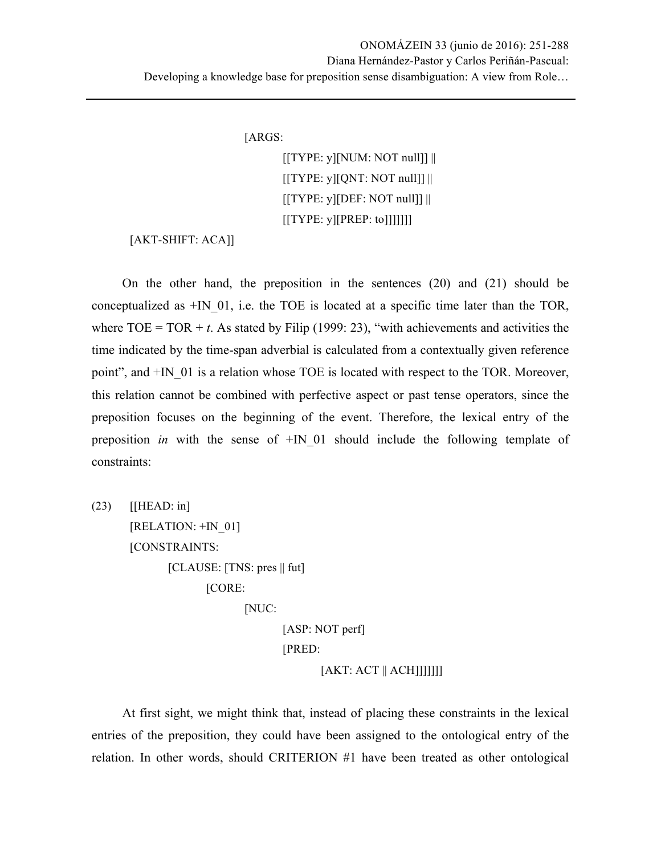[ARGS:

 $[[TYPE: y] [NUM: NOT null]]$  $[[TYPE: y][QNT: NOT null]]$  $[[TYPE: y] [DEF: NOT null]]$ [[TYPE: y][PREP: to]]]]]]]

[AKT-SHIFT: ACA]]

On the other hand, the preposition in the sentences (20) and (21) should be conceptualized as  $+IN$  01, i.e. the TOE is located at a specific time later than the TOR, where  $TOE = TOR + t$ . As stated by Filip (1999: 23), "with achievements and activities the time indicated by the time-span adverbial is calculated from a contextually given reference point", and  $+IN$  01 is a relation whose TOE is located with respect to the TOR. Moreover, this relation cannot be combined with perfective aspect or past tense operators, since the preposition focuses on the beginning of the event. Therefore, the lexical entry of the preposition *in* with the sense of  $+IN$  01 should include the following template of constraints:

 $(23)$  [[HEAD: in] [RELATION: +IN\_01] [CONSTRAINTS:  $[CLAUSE: [TNS: pres]] fut]$ [CORE: [NUC: [ASP: NOT perf] [PRED:  $[AKT: ACT || ACH]]]]]]$ 

At first sight, we might think that, instead of placing these constraints in the lexical entries of the preposition, they could have been assigned to the ontological entry of the relation. In other words, should CRITERION #1 have been treated as other ontological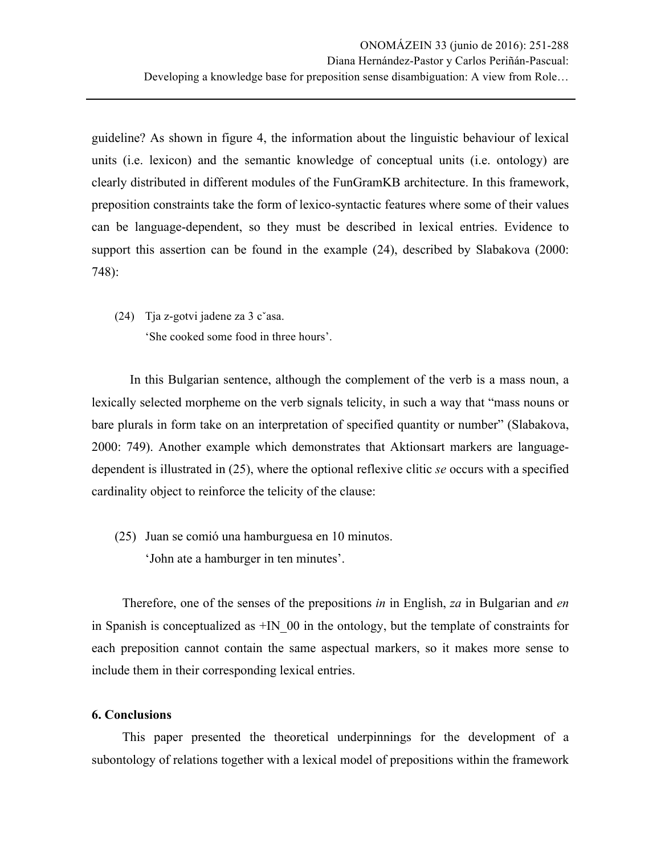guideline? As shown in figure 4, the information about the linguistic behaviour of lexical units (i.e. lexicon) and the semantic knowledge of conceptual units (i.e. ontology) are clearly distributed in different modules of the FunGramKB architecture. In this framework, preposition constraints take the form of lexico-syntactic features where some of their values can be language-dependent, so they must be described in lexical entries. Evidence to support this assertion can be found in the example (24), described by Slabakova (2000: 748):

(24) Tja z-gotvi jadene za 3 cˇasa. 'She cooked some food in three hours'.

In this Bulgarian sentence, although the complement of the verb is a mass noun, a lexically selected morpheme on the verb signals telicity, in such a way that "mass nouns or bare plurals in form take on an interpretation of specified quantity or number" (Slabakova, 2000: 749). Another example which demonstrates that Aktionsart markers are languagedependent is illustrated in (25), where the optional reflexive clitic *se* occurs with a specified cardinality object to reinforce the telicity of the clause:

(25) Juan se comió una hamburguesa en 10 minutos. 'John ate a hamburger in ten minutes'.

Therefore, one of the senses of the prepositions *in* in English, *za* in Bulgarian and *en* in Spanish is conceptualized as  $+IN$  00 in the ontology, but the template of constraints for each preposition cannot contain the same aspectual markers, so it makes more sense to include them in their corresponding lexical entries.

#### **6. Conclusions**

This paper presented the theoretical underpinnings for the development of a subontology of relations together with a lexical model of prepositions within the framework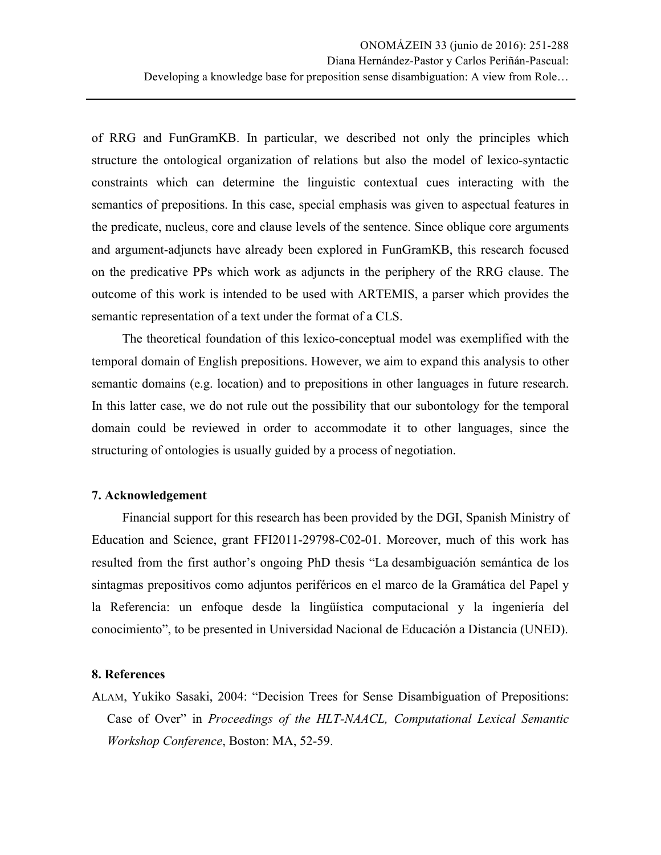of RRG and FunGramKB. In particular, we described not only the principles which structure the ontological organization of relations but also the model of lexico-syntactic constraints which can determine the linguistic contextual cues interacting with the semantics of prepositions. In this case, special emphasis was given to aspectual features in the predicate, nucleus, core and clause levels of the sentence. Since oblique core arguments and argument-adjuncts have already been explored in FunGramKB, this research focused on the predicative PPs which work as adjuncts in the periphery of the RRG clause. The outcome of this work is intended to be used with ARTEMIS, a parser which provides the semantic representation of a text under the format of a CLS.

The theoretical foundation of this lexico-conceptual model was exemplified with the temporal domain of English prepositions. However, we aim to expand this analysis to other semantic domains (e.g. location) and to prepositions in other languages in future research. In this latter case, we do not rule out the possibility that our subontology for the temporal domain could be reviewed in order to accommodate it to other languages, since the structuring of ontologies is usually guided by a process of negotiation.

#### **7. Acknowledgement**

Financial support for this research has been provided by the DGI, Spanish Ministry of Education and Science, grant FFI2011-29798-C02-01. Moreover, much of this work has resulted from the first author's ongoing PhD thesis "La desambiguación semántica de los sintagmas prepositivos como adjuntos periféricos en el marco de la Gramática del Papel y la Referencia: un enfoque desde la lingüística computacional y la ingeniería del conocimiento", to be presented in Universidad Nacional de Educación a Distancia (UNED).

#### **8. References**

ALAM, Yukiko Sasaki, 2004: "Decision Trees for Sense Disambiguation of Prepositions: Case of Over" in *Proceedings of the HLT-NAACL, Computational Lexical Semantic Workshop Conference*, Boston: MA, 52-59.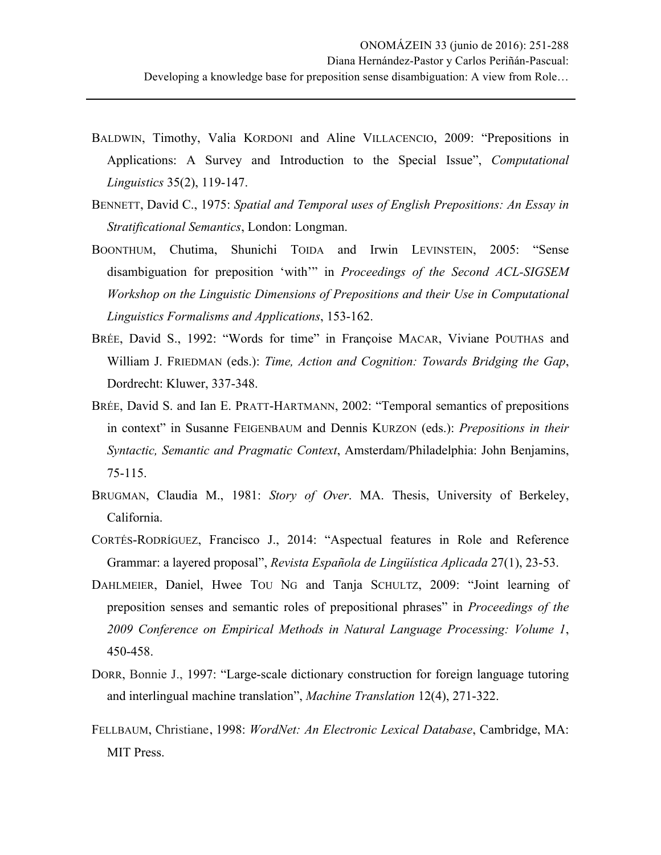- BALDWIN, Timothy, Valia KORDONI and Aline VILLACENCIO, 2009: "Prepositions in Applications: A Survey and Introduction to the Special Issue", *Computational Linguistics* 35(2), 119-147.
- BENNETT, David C., 1975: *Spatial and Temporal uses of English Prepositions: An Essay in Stratificational Semantics*, London: Longman.
- BOONTHUM, Chutima, Shunichi TOIDA and Irwin LEVINSTEIN, 2005: "Sense disambiguation for preposition 'with'" in *Proceedings of the Second ACL-SIGSEM Workshop on the Linguistic Dimensions of Prepositions and their Use in Computational Linguistics Formalisms and Applications*, 153-162.
- BRÉE, David S., 1992: "Words for time" in Françoise MACAR, Viviane POUTHAS and William J. FRIEDMAN (eds.): *Time, Action and Cognition: Towards Bridging the Gap*, Dordrecht: Kluwer, 337-348.
- BRÉE, David S. and Ian E. PRATT-HARTMANN, 2002: "Temporal semantics of prepositions in context" in Susanne FEIGENBAUM and Dennis KURZON (eds.): *Prepositions in their Syntactic, Semantic and Pragmatic Context*, Amsterdam/Philadelphia: John Benjamins, 75-115.
- BRUGMAN, Claudia M., 1981: *Story of Over*. MA. Thesis, University of Berkeley, California.
- CORTÉS-RODRÍGUEZ, Francisco J., 2014: "Aspectual features in Role and Reference Grammar: a layered proposal", *Revista Española de Lingüística Aplicada* 27(1), 23-53.
- DAHLMEIER, Daniel, Hwee TOU NG and Tanja SCHULTZ, 2009: "Joint learning of preposition senses and semantic roles of prepositional phrases" in *Proceedings of the 2009 Conference on Empirical Methods in Natural Language Processing: Volume 1*, 450-458.
- DORR, Bonnie J., 1997: "Large-scale dictionary construction for foreign language tutoring and interlingual machine translation", *Machine Translation* 12(4), 271-322.
- FELLBAUM, Christiane, 1998: *WordNet: An Electronic Lexical Database*, Cambridge, MA: MIT Press.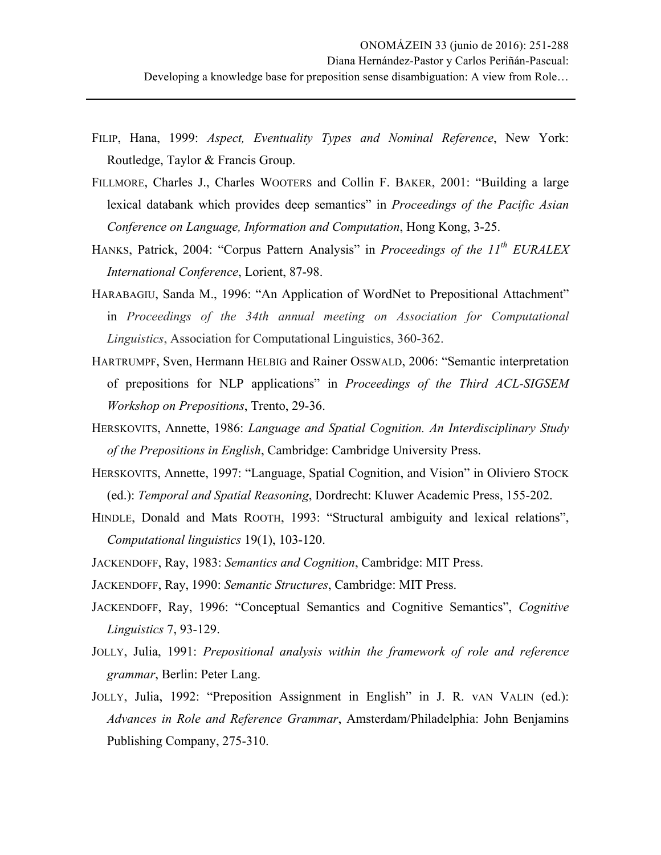- FILIP, Hana, 1999: *Aspect, Eventuality Types and Nominal Reference*, New York: Routledge, Taylor & Francis Group.
- FILLMORE, Charles J., Charles WOOTERS and Collin F. BAKER, 2001: "Building a large lexical databank which provides deep semantics" in *Proceedings of the Pacific Asian Conference on Language, Information and Computation*, Hong Kong, 3-25.
- HANKS, Patrick, 2004: "Corpus Pattern Analysis" in *Proceedings of the 11th EURALEX International Conference*, Lorient, 87-98.
- HARABAGIU, Sanda M., 1996: "An Application of WordNet to Prepositional Attachment" in *Proceedings of the 34th annual meeting on Association for Computational Linguistics*, Association for Computational Linguistics, 360-362.
- HARTRUMPF, Sven, Hermann HELBIG and Rainer OSSWALD, 2006: "Semantic interpretation of prepositions for NLP applications" in *Proceedings of the Third ACL-SIGSEM Workshop on Prepositions*, Trento, 29-36.
- HERSKOVITS, Annette, 1986: *Language and Spatial Cognition. An Interdisciplinary Study of the Prepositions in English*, Cambridge: Cambridge University Press.
- HERSKOVITS, Annette, 1997: "Language, Spatial Cognition, and Vision" in Oliviero STOCK (ed.): *Temporal and Spatial Reasoning*, Dordrecht: Kluwer Academic Press, 155-202.
- HINDLE, Donald and Mats ROOTH, 1993: "Structural ambiguity and lexical relations", *Computational linguistics* 19(1), 103-120.
- JACKENDOFF, Ray, 1983: *Semantics and Cognition*, Cambridge: MIT Press.
- JACKENDOFF, Ray, 1990: *Semantic Structures*, Cambridge: MIT Press.
- JACKENDOFF, Ray, 1996: "Conceptual Semantics and Cognitive Semantics", *Cognitive Linguistics* 7, 93-129.
- JOLLY, Julia, 1991: *Prepositional analysis within the framework of role and reference grammar*, Berlin: Peter Lang.
- JOLLY, Julia, 1992: "Preposition Assignment in English" in J. R. vAN VALIN (ed.): *Advances in Role and Reference Grammar*, Amsterdam/Philadelphia: John Benjamins Publishing Company, 275-310.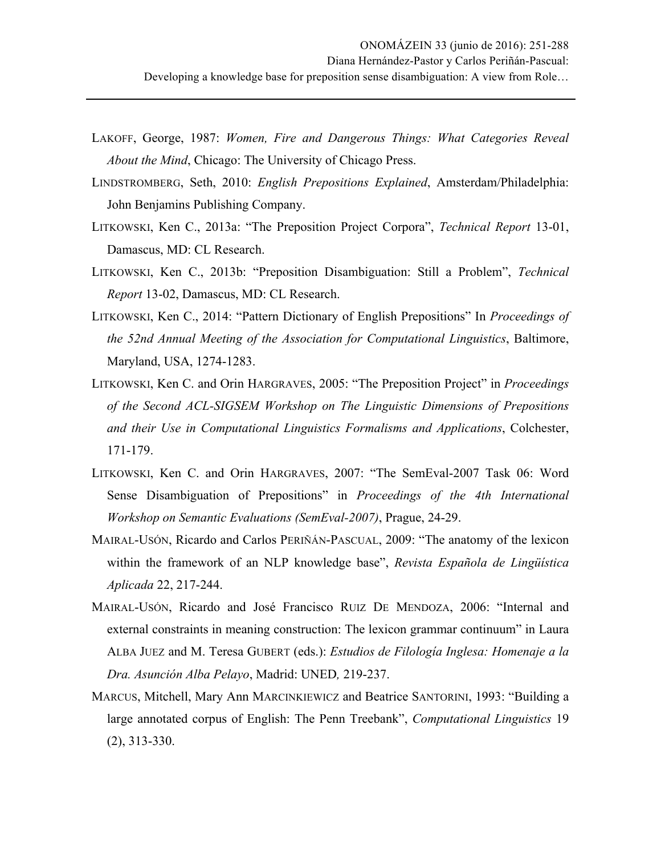- LAKOFF, George, 1987: *Women, Fire and Dangerous Things: What Categories Reveal About the Mind*, Chicago: The University of Chicago Press.
- LINDSTROMBERG, Seth, 2010: *English Prepositions Explained*, Amsterdam/Philadelphia: John Benjamins Publishing Company.
- LITKOWSKI, Ken C., 2013a: "The Preposition Project Corpora", *Technical Report* 13-01, Damascus, MD: CL Research.
- LITKOWSKI, Ken C., 2013b: "Preposition Disambiguation: Still a Problem", *Technical Report* 13-02, Damascus, MD: CL Research.
- LITKOWSKI, Ken C., 2014: "Pattern Dictionary of English Prepositions" In *Proceedings of the 52nd Annual Meeting of the Association for Computational Linguistics*, Baltimore, Maryland, USA, 1274-1283.
- LITKOWSKI, Ken C. and Orin HARGRAVES, 2005: "The Preposition Project" in *Proceedings of the Second ACL-SIGSEM Workshop on The Linguistic Dimensions of Prepositions and their Use in Computational Linguistics Formalisms and Applications*, Colchester, 171-179.
- LITKOWSKI, Ken C. and Orin HARGRAVES, 2007: "The SemEval-2007 Task 06: Word Sense Disambiguation of Prepositions" in *Proceedings of the 4th International Workshop on Semantic Evaluations (SemEval-2007)*, Prague, 24-29.
- MAIRAL-USÓN, Ricardo and Carlos PERIÑÁN-PASCUAL, 2009: "The anatomy of the lexicon within the framework of an NLP knowledge base", *Revista Española de Lingüística Aplicada* 22, 217-244.
- MAIRAL-USÓN, Ricardo and José Francisco RUIZ DE MENDOZA, 2006: "Internal and external constraints in meaning construction: The lexicon grammar continuum" in Laura ALBA JUEZ and M. Teresa GUBERT (eds.): *Estudios de Filología Inglesa: Homenaje a la Dra. Asunción Alba Pelayo*, Madrid: UNED*,* 219-237.
- MARCUS, Mitchell, Mary Ann MARCINKIEWICZ and Beatrice SANTORINI, 1993: "Building a large annotated corpus of English: The Penn Treebank", *Computational Linguistics* 19 (2), 313-330.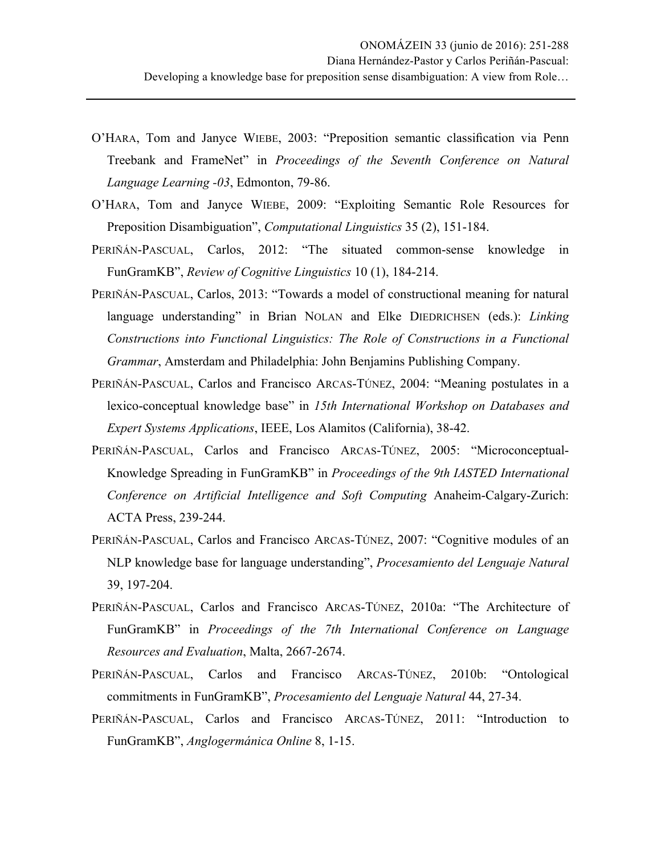- O'HARA, Tom and Janyce WIEBE, 2003: "Preposition semantic classification via Penn Treebank and FrameNet" in *Proceedings of the Seventh Conference on Natural Language Learning -03*, Edmonton, 79-86.
- O'HARA, Tom and Janyce WIEBE, 2009: "Exploiting Semantic Role Resources for Preposition Disambiguation", *Computational Linguistics* 35 (2), 151-184.
- PERIÑÁN-PASCUAL, Carlos, 2012: "The situated common-sense knowledge in FunGramKB", *Review of Cognitive Linguistics* 10 (1), 184-214.
- PERIÑÁN-PASCUAL, Carlos, 2013: "Towards a model of constructional meaning for natural language understanding" in Brian NOLAN and Elke DIEDRICHSEN (eds.): *Linking Constructions into Functional Linguistics: The Role of Constructions in a Functional Grammar*, Amsterdam and Philadelphia: John Benjamins Publishing Company.
- PERIÑÁN-PASCUAL, Carlos and Francisco ARCAS-TÚNEZ, 2004: "Meaning postulates in a lexico-conceptual knowledge base" in *15th International Workshop on Databases and Expert Systems Applications*, IEEE, Los Alamitos (California), 38-42.
- PERIÑÁN-PASCUAL, Carlos and Francisco ARCAS-TÚNEZ, 2005: "Microconceptual-Knowledge Spreading in FunGramKB" in *Proceedings of the 9th IASTED International Conference on Artificial Intelligence and Soft Computing* Anaheim-Calgary-Zurich: ACTA Press, 239-244.
- PERIÑÁN-PASCUAL, Carlos and Francisco ARCAS-TÚNEZ, 2007: "Cognitive modules of an NLP knowledge base for language understanding", *Procesamiento del Lenguaje Natural* 39, 197-204.
- PERIÑÁN-PASCUAL, Carlos and Francisco ARCAS-TÚNEZ, 2010a: "The Architecture of FunGramKB" in *Proceedings of the 7th International Conference on Language Resources and Evaluation*, Malta, 2667-2674.
- PERIÑÁN-PASCUAL, Carlos and Francisco ARCAS-TÚNEZ, 2010b: "Ontological commitments in FunGramKB", *Procesamiento del Lenguaje Natural* 44, 27-34.
- PERIÑÁN-PASCUAL, Carlos and Francisco ARCAS-TÚNEZ, 2011: "Introduction to FunGramKB", *Anglogermánica Online* 8, 1-15.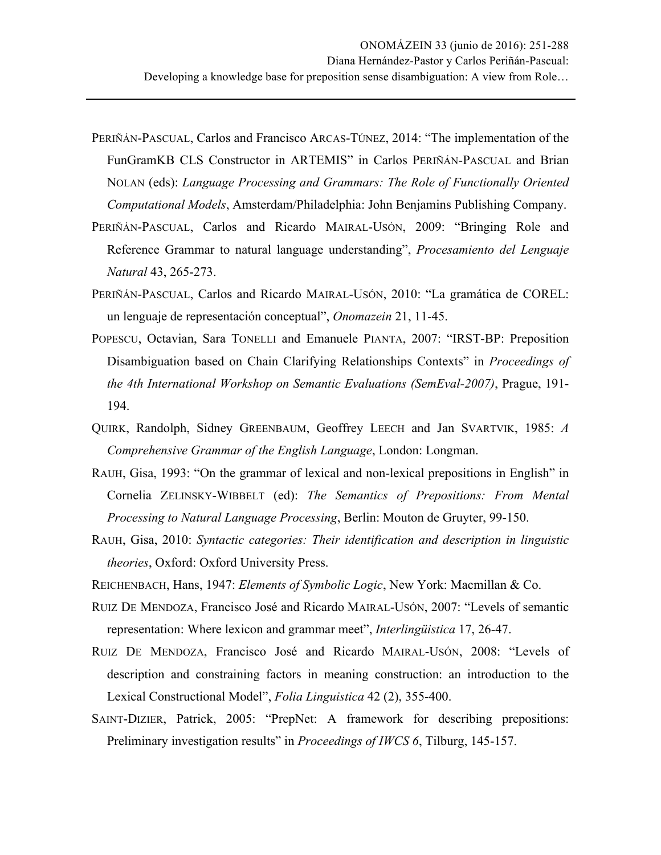- PERIÑÁN-PASCUAL, Carlos and Francisco ARCAS-TÚNEZ, 2014: "The implementation of the FunGramKB CLS Constructor in ARTEMIS" in Carlos PERIÑÁN-PASCUAL and Brian NOLAN (eds): *Language Processing and Grammars: The Role of Functionally Oriented Computational Models*, Amsterdam/Philadelphia: John Benjamins Publishing Company.
- PERIÑÁN-PASCUAL, Carlos and Ricardo MAIRAL-USÓN, 2009: "Bringing Role and Reference Grammar to natural language understanding", *Procesamiento del Lenguaje Natural* 43, 265-273.
- PERIÑÁN-PASCUAL, Carlos and Ricardo MAIRAL-USÓN, 2010: "La gramática de COREL: un lenguaje de representación conceptual", *Onomazein* 21, 11-45.
- POPESCU, Octavian, Sara TONELLI and Emanuele PIANTA, 2007: "IRST-BP: Preposition Disambiguation based on Chain Clarifying Relationships Contexts" in *Proceedings of the 4th International Workshop on Semantic Evaluations (SemEval-2007)*, Prague, 191- 194.
- QUIRK, Randolph, Sidney GREENBAUM, Geoffrey LEECH and Jan SVARTVIK, 1985: *A Comprehensive Grammar of the English Language*, London: Longman.
- RAUH, Gisa, 1993: "On the grammar of lexical and non-lexical prepositions in English" in Cornelia ZELINSKY-WIBBELT (ed): *The Semantics of Prepositions: From Mental Processing to Natural Language Processing*, Berlin: Mouton de Gruyter, 99-150.
- RAUH, Gisa, 2010: *Syntactic categories: Their identification and description in linguistic theories*, Oxford: Oxford University Press.
- REICHENBACH, Hans, 1947: *Elements of Symbolic Logic*, New York: Macmillan & Co.
- RUIZ DE MENDOZA, Francisco José and Ricardo MAIRAL-USÓN, 2007: "Levels of semantic representation: Where lexicon and grammar meet", *Interlingüistica* 17, 26-47.
- RUIZ DE MENDOZA, Francisco José and Ricardo MAIRAL-USÓN, 2008: "Levels of description and constraining factors in meaning construction: an introduction to the Lexical Constructional Model", *Folia Linguistica* 42 (2), 355-400.
- SAINT-DIZIER, Patrick, 2005: "PrepNet: A framework for describing prepositions: Preliminary investigation results" in *Proceedings of IWCS 6*, Tilburg, 145-157.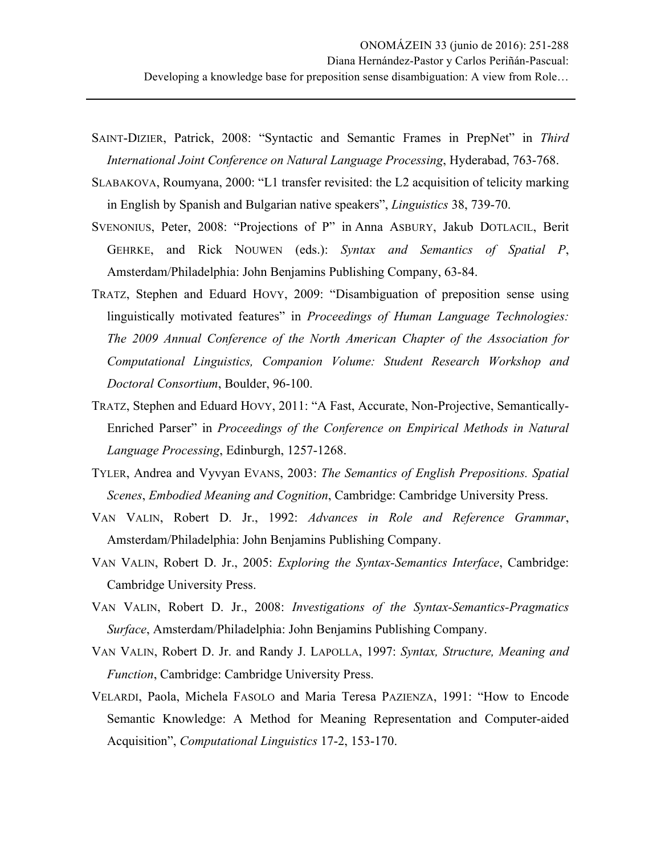- SAINT-DIZIER, Patrick, 2008: "Syntactic and Semantic Frames in PrepNet" in *Third International Joint Conference on Natural Language Processing*, Hyderabad, 763-768.
- SLABAKOVA, Roumyana, 2000: "L1 transfer revisited: the L2 acquisition of telicity marking in English by Spanish and Bulgarian native speakers", *Linguistics* 38, 739-70.
- SVENONIUS, Peter, 2008: "Projections of P" in Anna ASBURY, Jakub DOTLACIL, Berit GEHRKE, and Rick NOUWEN (eds.): *Syntax and Semantics of Spatial P*, Amsterdam/Philadelphia: John Benjamins Publishing Company, 63-84.
- TRATZ, Stephen and Eduard HOVY, 2009: "Disambiguation of preposition sense using linguistically motivated features" in *Proceedings of Human Language Technologies: The 2009 Annual Conference of the North American Chapter of the Association for Computational Linguistics, Companion Volume: Student Research Workshop and Doctoral Consortium*, Boulder, 96-100.
- TRATZ, Stephen and Eduard HOVY, 2011: "A Fast, Accurate, Non-Projective, Semantically-Enriched Parser" in *Proceedings of the Conference on Empirical Methods in Natural Language Processing*, Edinburgh, 1257-1268.
- TYLER, Andrea and Vyvyan EVANS, 2003: *The Semantics of English Prepositions. Spatial Scenes*, *Embodied Meaning and Cognition*, Cambridge: Cambridge University Press.
- VAN VALIN, Robert D. Jr., 1992: *Advances in Role and Reference Grammar*, Amsterdam/Philadelphia: John Benjamins Publishing Company.
- VAN VALIN, Robert D. Jr., 2005: *Exploring the Syntax-Semantics Interface*, Cambridge: Cambridge University Press.
- VAN VALIN, Robert D. Jr., 2008: *Investigations of the Syntax-Semantics-Pragmatics Surface*, Amsterdam/Philadelphia: John Benjamins Publishing Company.
- VAN VALIN, Robert D. Jr. and Randy J. LAPOLLA, 1997: *Syntax, Structure, Meaning and Function*, Cambridge: Cambridge University Press.
- VELARDI, Paola, Michela FASOLO and Maria Teresa PAZIENZA, 1991: "How to Encode Semantic Knowledge: A Method for Meaning Representation and Computer-aided Acquisition", *Computational Linguistics* 17-2, 153-170.